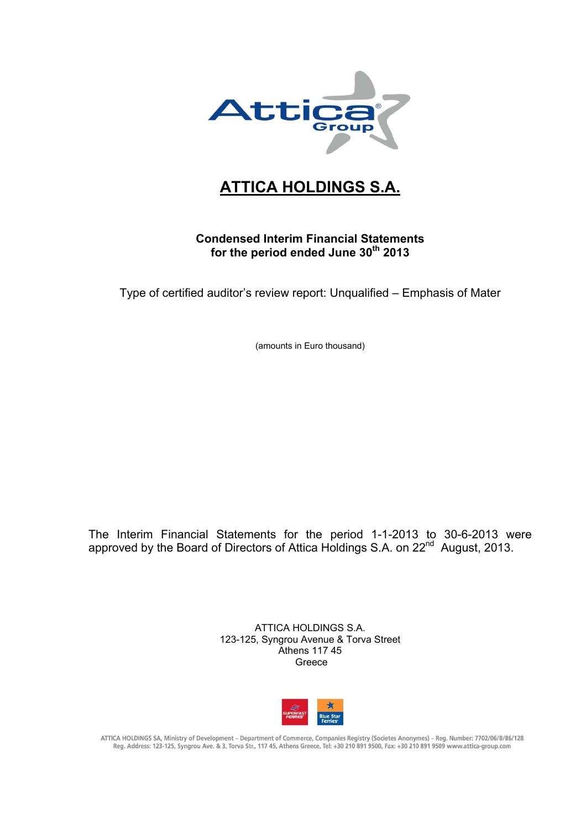

## **ATTICA HOLDINGS S.A.**

#### **Condensed Interim Financial Statements**  for the period ended June 30<sup>th</sup> 2013

Type of certified auditor's review report: Unqualified – Emphasis of Mater

(amounts in Euro thousand)

The Interim Financial Statements for the period 1-1-2013 to 30-6-2013 were approved by the Board of Directors of Attica Holdings S.A. on 22<sup>nd</sup> August, 2013.

> ATTICA HOLDINGS S.A. 123-125, Syngrou Avenue & Torva Street Athens 117 45 Greece



ATTICA HOLDINGS SA, Ministry of Development - Department of Commerce, Companies Registry (Societes Anonymes) - Reg. Number: 7702/06/B/86/128 Reg. Address: 123-125, Syngrou Ave. & 3, Torva Str., 117 45, Athens Greece, Tel: +30 210 891 9500, Fax: +30 210 891 9509 www.attica-group.com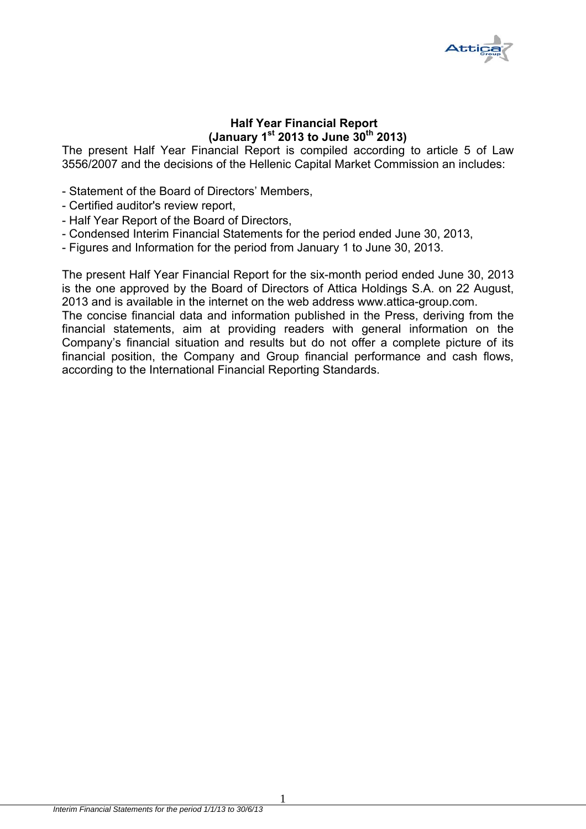

#### **Half Year Financial Report (January 1st 2013 to June 30th 2013)**

The present Half Year Financial Report is compiled according to article 5 of Law 3556/2007 and the decisions of the Hellenic Capital Market Commission an includes:

- Statement of the Board of Directors' Members,
- Certified auditor's review report,
- Half Year Report of the Board of Directors,
- Condensed Interim Financial Statements for the period ended June 30, 2013,
- Figures and Information for the period from January 1 to June 30, 2013.

The present Half Year Financial Report for the six-month period ended June 30, 2013 is the one approved by the Board of Directors of Attica Holdings S.A. on 22 August, 2013 and is available in the internet on the web address www.attica-group.com.

The concise financial data and information published in the Press, deriving from the financial statements, aim at providing readers with general information on the Company's financial situation and results but do not offer a complete picture of its financial position, the Company and Group financial performance and cash flows, according to the International Financial Reporting Standards.

1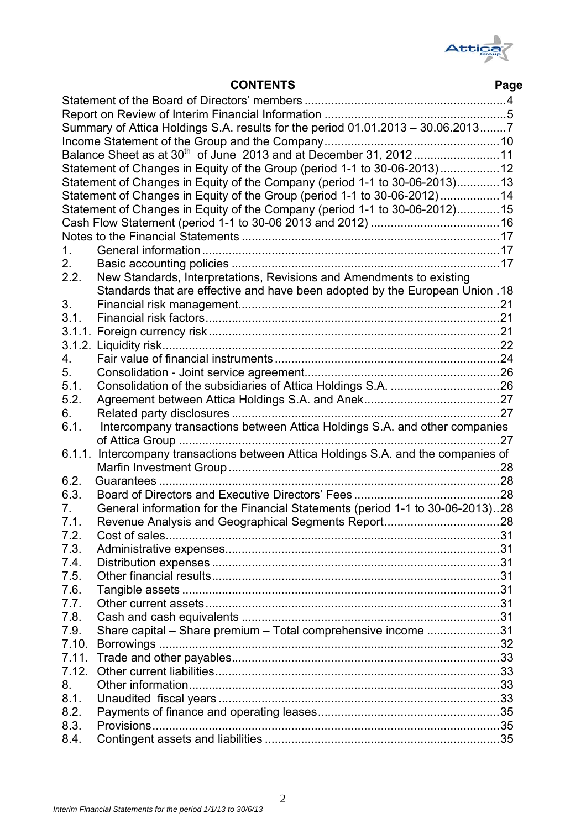

|       | Summary of Attica Holdings S.A. results for the period 01.01.2013 - 30.06.20137    |    |
|-------|------------------------------------------------------------------------------------|----|
|       |                                                                                    |    |
|       | Balance Sheet as at 30 <sup>th</sup> of June 2013 and at December 31, 201211       |    |
|       | Statement of Changes in Equity of the Group (period 1-1 to 30-06-2013)12           |    |
|       | Statement of Changes in Equity of the Company (period 1-1 to 30-06-2013)13         |    |
|       | Statement of Changes in Equity of the Group (period 1-1 to 30-06-2012)14           |    |
|       | Statement of Changes in Equity of the Company (period 1-1 to 30-06-2012)15         |    |
|       |                                                                                    |    |
|       |                                                                                    |    |
|       |                                                                                    |    |
| 1.    |                                                                                    |    |
| 2.    |                                                                                    |    |
| 2.2.  | New Standards, Interpretations, Revisions and Amendments to existing               |    |
|       | Standards that are effective and have been adopted by the European Union .18       |    |
| 3.    |                                                                                    |    |
| 3.1.  |                                                                                    |    |
|       |                                                                                    |    |
|       |                                                                                    |    |
| 4.    |                                                                                    |    |
| 5.    |                                                                                    |    |
| 5.1.  |                                                                                    |    |
| 5.2.  |                                                                                    |    |
| 6.    |                                                                                    |    |
| 6.1.  | Intercompany transactions between Attica Holdings S.A. and other companies         |    |
|       |                                                                                    |    |
|       | 6.1.1. Intercompany transactions between Attica Holdings S.A. and the companies of |    |
|       |                                                                                    |    |
| 6.2.  |                                                                                    |    |
| 6.3.  |                                                                                    |    |
| 7.    | General information for the Financial Statements (period 1-1 to 30-06-2013)28      |    |
| 7.1.  |                                                                                    |    |
|       |                                                                                    |    |
| 7.2   |                                                                                    | 31 |
| 7.3.  |                                                                                    |    |
| 7.4.  |                                                                                    |    |
| 7.5.  |                                                                                    |    |
| 7.6.  |                                                                                    |    |
| 7.7.  |                                                                                    |    |
| 7.8.  |                                                                                    |    |
| 7.9.  | Share capital - Share premium - Total comprehensive income 31                      |    |
| 7.10. |                                                                                    |    |
| 7.11. |                                                                                    |    |
| 7.12. |                                                                                    |    |
| 8.    |                                                                                    |    |
| 8.1.  |                                                                                    |    |
| 8.2.  |                                                                                    |    |
| 8.3.  |                                                                                    |    |
| 8.4.  |                                                                                    |    |
|       |                                                                                    |    |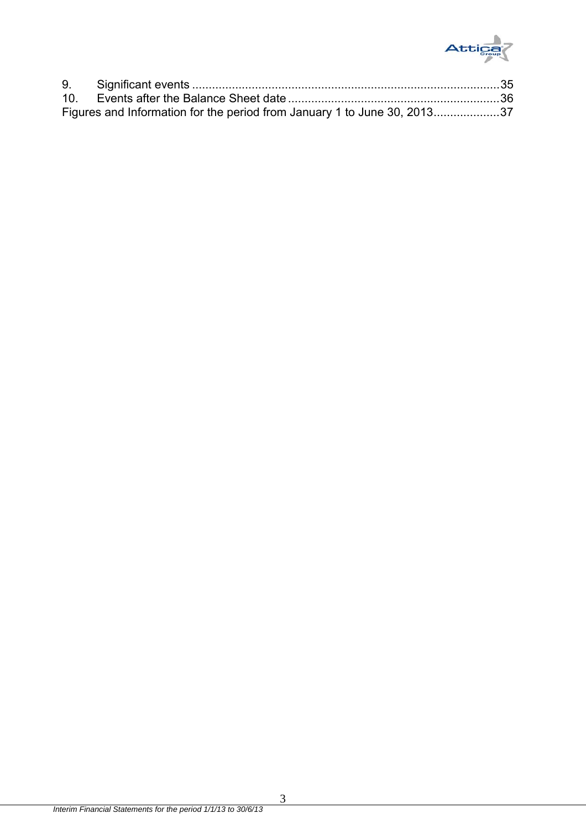

| Figures and Information for the period from January 1 to June 30, 201337 |  |
|--------------------------------------------------------------------------|--|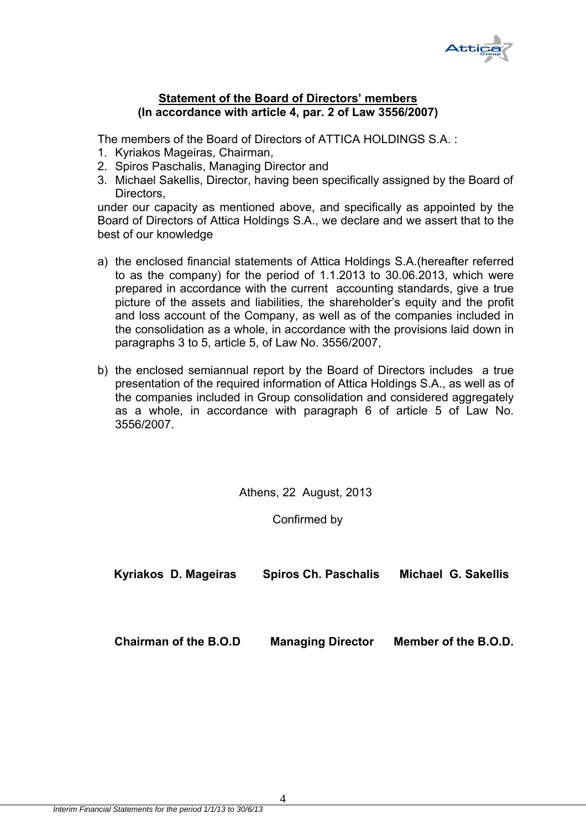

#### **Statement of the Board of Directors' members (In accordance with article 4, par. 2 of Law 3556/2007)**

The members of the Board of Directors of ATTICA HOLDINGS S.A. :

- 1. Kyriakos Mageiras, Chairman,
- 2. Spiros Paschalis, Managing Director and
- 3. Michael Sakellis, Director, having been specifically assigned by the Board of Directors,

under our capacity as mentioned above, and specifically as appointed by the Board of Directors of Attica Holdings S.A., we declare and we assert that to the best of our knowledge

- a) the enclosed financial statements of Attica Holdings S.A.(hereafter referred to as the company) for the period of 1.1.2013 to 30.06.2013, which were prepared in accordance with the current accounting standards, give a true picture of the assets and liabilities, the shareholder's equity and the profit and loss account of the Company, as well as of the companies included in the consolidation as a whole, in accordance with the provisions laid down in paragraphs 3 to 5, article 5, of Law No. 3556/2007,
- b) the enclosed semiannual report by the Board of Directors includes a true presentation of the required information of Attica Holdings S.A., as well as of the companies included in Group consolidation and considered aggregately as a whole, in accordance with paragraph 6 of article 5 of Law No. 3556/2007.

Athens, 22 August, 2013

Confirmed by

| Kyriakos D. Mageiras         | <b>Spiros Ch. Paschalis</b> | <b>Michael G. Sakellis</b> |
|------------------------------|-----------------------------|----------------------------|
|                              |                             |                            |
| <b>Chairman of the B.O.D</b> | <b>Managing Director</b>    | Member of the B.O.D.       |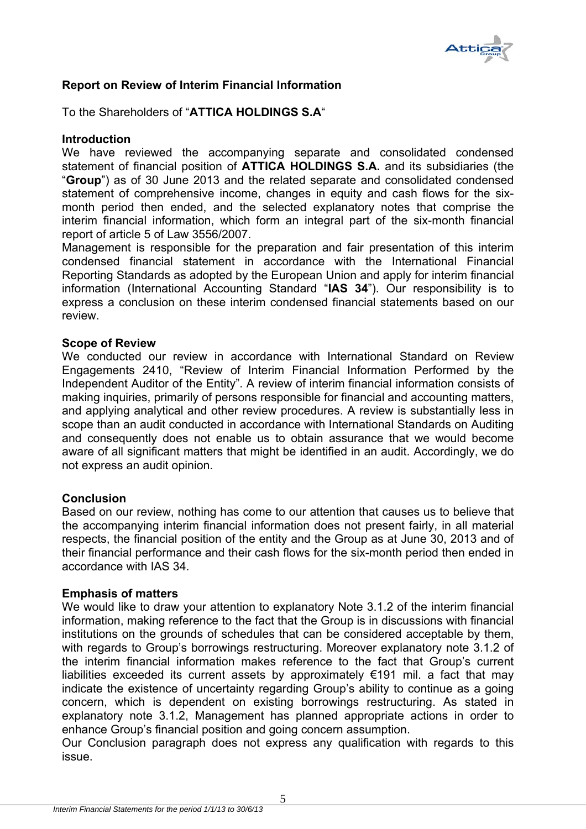

#### **Report on Review of Interim Financial Information**

To the Shareholders of "**ATTICA HOLDINGS S.A**"

#### **Introduction**

We have reviewed the accompanying separate and consolidated condensed statement of financial position of **ATTICA HOLDINGS S.A.** and its subsidiaries (the "**Group**") as of 30 June 2013 and the related separate and consolidated condensed statement of comprehensive income, changes in equity and cash flows for the sixmonth period then ended, and the selected explanatory notes that comprise the interim financial information, which form an integral part of the six-month financial report of article 5 of Law 3556/2007.

Management is responsible for the preparation and fair presentation of this interim condensed financial statement in accordance with the International Financial Reporting Standards as adopted by the European Union and apply for interim financial information (International Accounting Standard "**IAS 34**"). Our responsibility is to express a conclusion on these interim condensed financial statements based on our review.

#### **Scope of Review**

We conducted our review in accordance with International Standard on Review Engagements 2410, "Review of Interim Financial Information Performed by the Independent Auditor of the Entity". A review of interim financial information consists of making inquiries, primarily of persons responsible for financial and accounting matters, and applying analytical and other review procedures. A review is substantially less in scope than an audit conducted in accordance with International Standards on Auditing and consequently does not enable us to obtain assurance that we would become aware of all significant matters that might be identified in an audit. Accordingly, we do not express an audit opinion.

#### **Conclusion**

Based on our review, nothing has come to our attention that causes us to believe that the accompanying interim financial information does not present fairly, in all material respects, the financial position of the entity and the Group as at June 30, 2013 and of their financial performance and their cash flows for the six-month period then ended in accordance with IAS 34.

#### **Emphasis of matters**

We would like to draw your attention to explanatory Note 3.1.2 of the interim financial information, making reference to the fact that the Group is in discussions with financial institutions on the grounds of schedules that can be considered acceptable by them, with regards to Group's borrowings restructuring. Moreover explanatory note 3.1.2 of the interim financial information makes reference to the fact that Group's current liabilities exceeded its current assets by approximately  $\epsilon$ 191 mil. a fact that may indicate the existence of uncertainty regarding Group's ability to continue as a going concern, which is dependent on existing borrowings restructuring. As stated in explanatory note 3.1.2, Management has planned appropriate actions in order to enhance Group's financial position and going concern assumption.

Our Conclusion paragraph does not express any qualification with regards to this issue.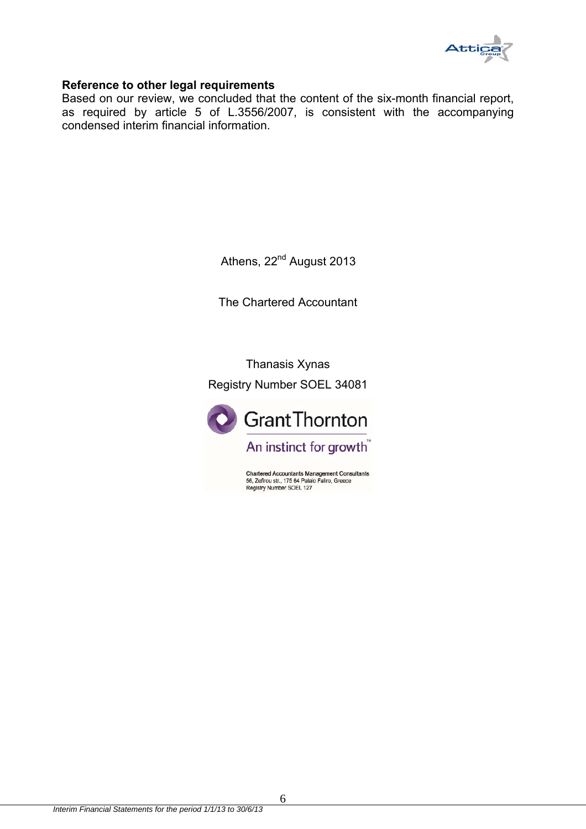

#### **Reference to other legal requirements**

Based on our review, we concluded that the content of the six-month financial report, as required by article 5 of L.3556/2007, is consistent with the accompanying condensed interim financial information.

Athens, 22<sup>nd</sup> August 2013

The Chartered Accountant

Thanasis Xynas Registry Number SOEL 34081



**Chartered Accountants Management Consultants** 56, Zefirou str., 175 64 Palaio Faliro, Greece<br>Registry Number SOEL 127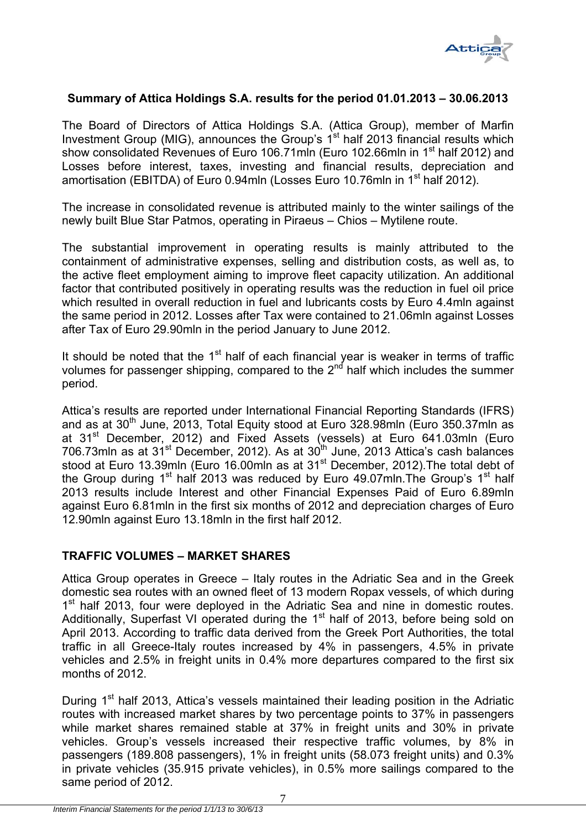

#### **Summary of Attica Holdings S.A. results for the period 01.01.2013 – 30.06.2013**

The Board of Directors of Attica Holdings S.A. (Attica Group), member of Marfin Investment Group (MIG), announces the Group's  $1<sup>st</sup>$  half 2013 financial results which show consolidated Revenues of Euro 106.71mln (Euro 102.66mln in 1<sup>st</sup> half 2012) and Losses before interest, taxes, investing and financial results, depreciation and amortisation (EBITDA) of Euro 0.94mln (Losses Euro 10.76mln in 1<sup>st</sup> half 2012).

The increase in consolidated revenue is attributed mainly to the winter sailings of the newly built Blue Star Patmos, operating in Piraeus – Chios – Mytilene route.

The substantial improvement in operating results is mainly attributed to the containment of administrative expenses, selling and distribution costs, as well as, to the active fleet employment aiming to improve fleet capacity utilization. An additional factor that contributed positively in operating results was the reduction in fuel oil price which resulted in overall reduction in fuel and lubricants costs by Euro 4.4mln against the same period in 2012. Losses after Tax were contained to 21.06mln against Losses after Tax of Euro 29.90mln in the period January to June 2012.

It should be noted that the  $1<sup>st</sup>$  half of each financial year is weaker in terms of traffic volumes for passenger shipping, compared to the  $2<sup>nd</sup>$  half which includes the summer period.

Attica's results are reported under International Financial Reporting Standards (IFRS) and as at  $30<sup>th</sup>$  June, 2013, Total Equity stood at Euro 328.98mln (Euro 350.37mln as at 31<sup>st</sup> December, 2012) and Fixed Assets (vessels) at Euro 641.03mln (Euro 706.73mln as at 31<sup>st</sup> December, 2012). As at 30<sup>th</sup> June, 2013 Attica's cash balances stood at Euro 13.39mln (Euro 16.00mln as at 31<sup>st</sup> December, 2012). The total debt of the Group during  $1<sup>st</sup>$  half 2013 was reduced by Euro 49.07mln. The Group's  $1<sup>st</sup>$  half 2013 results include Interest and other Financial Expenses Paid of Euro 6.89mln against Euro 6.81mln in the first six months of 2012 and depreciation charges of Euro 12.90mln against Euro 13.18mln in the first half 2012.

#### **TRAFFIC VOLUMES – MARKET SHARES**

Attica Group operates in Greece – Italy routes in the Adriatic Sea and in the Greek domestic sea routes with an owned fleet of 13 modern Ropax vessels, of which during 1<sup>st</sup> half 2013, four were deployed in the Adriatic Sea and nine in domestic routes. Additionally, Superfast VI operated during the 1<sup>st</sup> half of 2013, before being sold on April 2013. According to traffic data derived from the Greek Port Authorities, the total traffic in all Greece-Italy routes increased by 4% in passengers, 4.5% in private vehicles and 2.5% in freight units in 0.4% more departures compared to the first six months of 2012.

During 1<sup>st</sup> half 2013, Attica's vessels maintained their leading position in the Adriatic routes with increased market shares by two percentage points to 37% in passengers while market shares remained stable at 37% in freight units and 30% in private vehicles. Group's vessels increased their respective traffic volumes, by 8% in passengers (189.808 passengers), 1% in freight units (58.073 freight units) and 0.3% in private vehicles (35.915 private vehicles), in 0.5% more sailings compared to the same period of 2012.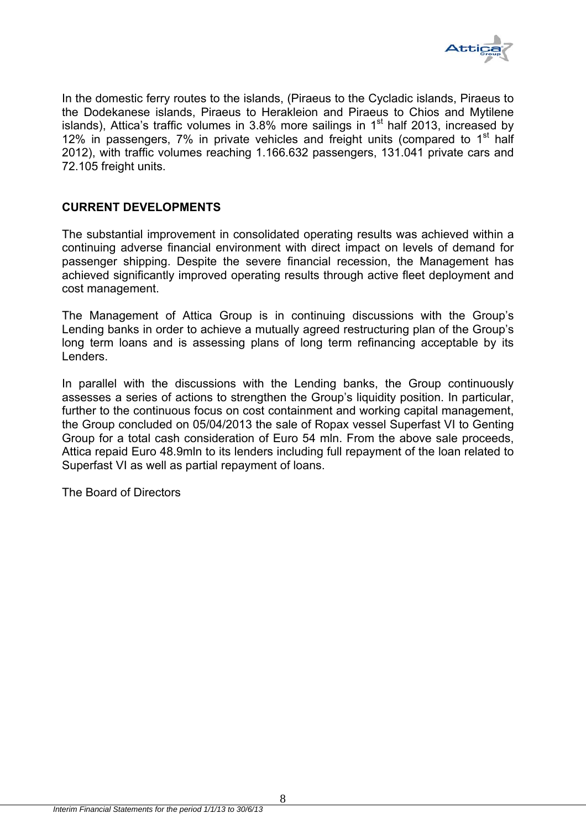

In the domestic ferry routes to the islands, (Piraeus to the Cycladic islands, Piraeus to the Dodekanese islands, Piraeus to Herakleion and Piraeus to Chios and Mytilene islands), Attica's traffic volumes in 3.8% more sailings in 1st half 2013, increased by 12% in passengers, 7% in private vehicles and freight units (compared to  $1<sup>st</sup>$  half 2012), with traffic volumes reaching 1.166.632 passengers, 131.041 private cars and 72.105 freight units.

#### **CURRENT DEVELOPMENTS**

The substantial improvement in consolidated operating results was achieved within a continuing adverse financial environment with direct impact on levels of demand for passenger shipping. Despite the severe financial recession, the Management has achieved significantly improved operating results through active fleet deployment and cost management.

The Management of Attica Group is in continuing discussions with the Group's Lending banks in order to achieve a mutually agreed restructuring plan of the Group's long term loans and is assessing plans of long term refinancing acceptable by its Lenders.

In parallel with the discussions with the Lending banks, the Group continuously assesses a series of actions to strengthen the Group's liquidity position. In particular, further to the continuous focus on cost containment and working capital management, the Group concluded on 05/04/2013 the sale of Ropax vessel Superfast VI to Genting Group for a total cash consideration of Euro 54 mln. From the above sale proceeds, Attica repaid Euro 48.9mln to its lenders including full repayment of the loan related to Superfast VI as well as partial repayment of loans.

The Board of Directors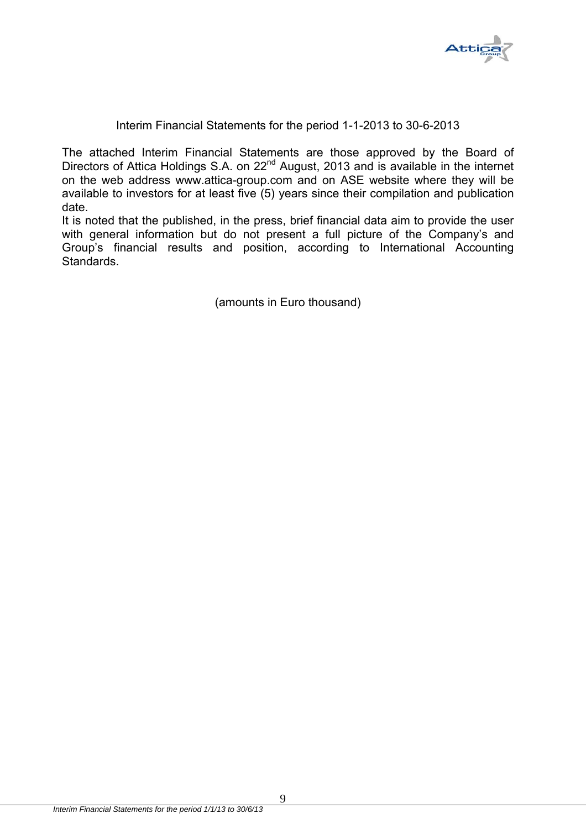

#### Interim Financial Statements for the period 1-1-2013 to 30-6-2013

The attached Interim Financial Statements are those approved by the Board of Directors of Attica Holdings S.A. on 22<sup>nd</sup> August, 2013 and is available in the internet on the web address www.attica-group.com and on ASE website where they will be available to investors for at least five (5) years since their compilation and publication date.

It is noted that the published, in the press, brief financial data aim to provide the user with general information but do not present a full picture of the Company's and Group's financial results and position, according to International Accounting Standards.

(amounts in Euro thousand)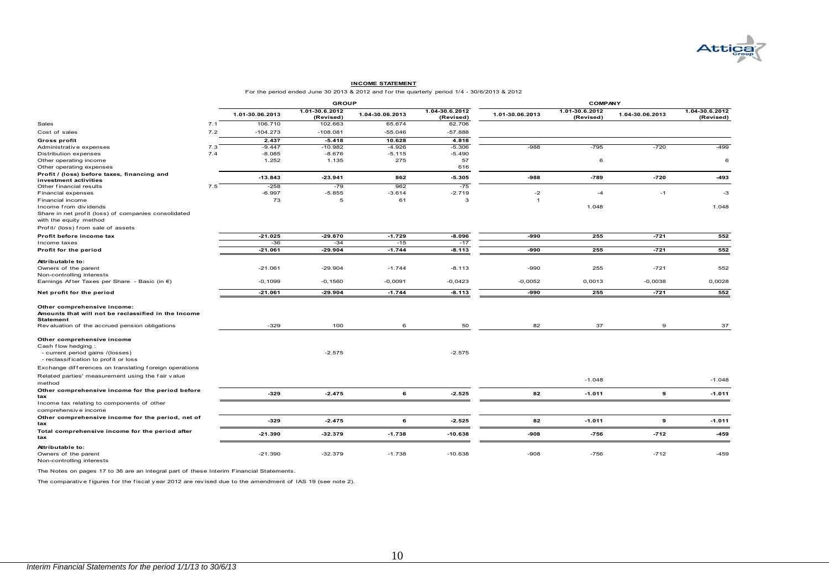

#### **INCOME STATEMENT**

For the period ended June 30 2013 & 2012 and f or the quarterly period 1/4 - 30/6/2013 & 2012

|                                                                                    |     | <b>GROUP</b>    |                             |                 |                             | <b>COMPANY</b>  |                             |                 |                             |
|------------------------------------------------------------------------------------|-----|-----------------|-----------------------------|-----------------|-----------------------------|-----------------|-----------------------------|-----------------|-----------------------------|
|                                                                                    |     | 1.01-30.06.2013 | 1.01-30.6.2012<br>(Revised) | 1.04-30.06.2013 | 1.04-30.6.2012<br>(Revised) | 1.01-30.06.2013 | 1.01-30.6.2012<br>(Revised) | 1.04-30.06.2013 | 1.04-30.6.2012<br>(Revised) |
| Sales                                                                              | 7.1 | 106.710         | 102.663                     | 65.674          | 62.706                      |                 |                             |                 |                             |
| Cost of sales                                                                      | 7.2 | $-104.273$      | $-108.081$                  | $-55.046$       | $-57.888$                   |                 |                             |                 |                             |
| Gross profit                                                                       |     | 2.437           | $-5.418$                    | 10.628          | 4.818                       |                 |                             |                 |                             |
| Administrative expenses                                                            | 7.3 | $-9.447$        | $-10.982$                   | $-4.926$        | $-5.306$                    | $-988$          | $-795$                      | $-720$          | $-499$                      |
| Distribution expenses                                                              | 7.4 | $-8.085$        | $-8.676$                    | $-5.115$        | $-5.490$                    |                 |                             |                 |                             |
| Other operating income                                                             |     | 1.252           | 1.135                       | 275             | 57                          |                 | 6                           |                 | 6                           |
| Other operating expenses                                                           |     |                 |                             |                 | 616                         |                 |                             |                 |                             |
| Profit / (loss) before taxes, financing and                                        |     | $-13.843$       | $-23.941$                   | 862             | $-5.305$                    | $-988$          | $-789$                      | $-720$          | $-493$                      |
| investment activities                                                              |     |                 |                             |                 |                             |                 |                             |                 |                             |
| Other financial results                                                            | 7.5 | $-258$          | $-79$                       | 962             | $-75$                       |                 |                             |                 |                             |
| Financial expenses                                                                 |     | $-6.997$        | $-5.855$                    | $-3.614$        | $-2.719$                    | $-2$            | $-4$                        | $-1$            | $-3$                        |
| Financial income                                                                   |     | 73              | 5                           | 61              | 3                           | -1              |                             |                 |                             |
| Income from dividends                                                              |     |                 |                             |                 |                             |                 | 1.048                       |                 | 1.048                       |
| Share in net profit (loss) of companies consolidated                               |     |                 |                             |                 |                             |                 |                             |                 |                             |
| with the equity method                                                             |     |                 |                             |                 |                             |                 |                             |                 |                             |
| Profit/ (loss) from sale of assets                                                 |     |                 |                             |                 |                             |                 |                             |                 |                             |
| Profit before income tax                                                           |     | $-21.025$       | $-29.870$                   | $-1.729$        | $-8.096$                    | $-990$          | 255                         | $-721$          | 552                         |
| Income taxes                                                                       |     | $-36$           | $-34$                       | $-15$           | $-17$                       |                 |                             |                 |                             |
| Profit for the period                                                              |     | $-21.061$       | $-29.904$                   | $-1.744$        | $-8.113$                    | -990            | 255                         | $-721$          | 552                         |
|                                                                                    |     |                 |                             |                 |                             |                 |                             |                 |                             |
| Attributable to:                                                                   |     | $-21.061$       | $-29.904$                   | $-1.744$        | $-8.113$                    | -990            | 255                         | $-721$          | 552                         |
| Owners of the parent<br>Non-controlling interests                                  |     |                 |                             |                 |                             |                 |                             |                 |                             |
|                                                                                    |     |                 |                             |                 |                             | $-0,0052$       |                             | $-0,0038$       |                             |
| Earnings After Taxes per Share - Basic (in $\epsilon$ )                            |     | $-0,1099$       | $-0,1560$                   | $-0,0091$       | $-0.0423$                   |                 | 0,0013                      |                 | 0,0028                      |
| Net profit for the period                                                          |     | $-21.061$       | $-29.904$                   | $-1.744$        | $-8.113$                    | -990            | 255                         | $-721$          | 552                         |
| Other comprehensive income:<br>Amounts that will not be reclassified in the Income |     |                 |                             |                 |                             |                 |                             |                 |                             |
| <b>Statement</b>                                                                   |     |                 |                             |                 |                             |                 |                             |                 |                             |
| Revaluation of the accrued pension obligations                                     |     | $-329$          | 100                         | 6               | 50                          | 82              | 37                          | 9               | 37                          |
| Other comprehensive income                                                         |     |                 |                             |                 |                             |                 |                             |                 |                             |
| Cash flow hedging:                                                                 |     |                 |                             |                 |                             |                 |                             |                 |                             |
| - current period gains /(losses)<br>- reclassification to profit or loss           |     |                 | $-2.575$                    |                 | $-2.575$                    |                 |                             |                 |                             |
| Exchange differences on translating foreign operations                             |     |                 |                             |                 |                             |                 |                             |                 |                             |
| Related parties' measurement using the fair value<br>method                        |     |                 |                             |                 |                             |                 | $-1.048$                    |                 | $-1.048$                    |
| Other comprehensive income for the period before<br>tax                            |     | $-329$          | $-2.475$                    | 6               | $-2.525$                    | 82              | $-1.011$                    | 9               | $-1.011$                    |
| Income tax relating to components of other<br>comprehensive income                 |     |                 |                             |                 |                             |                 |                             |                 |                             |
| Other comprehensive income for the period, net of<br>tax                           |     | $-329$          | $-2.475$                    | 6               | $-2.525$                    | 82              | $-1.011$                    | 9               | $-1.011$                    |
| Total comprehensive income for the period after<br>tax                             |     | $-21.390$       | $-32.379$                   | $-1.738$        | $-10.638$                   | $-908$          | $-756$                      | $-712$          | $-459$                      |
| Attributable to:<br>Owners of the parent<br>Non-controlling interests              |     | $-21.390$       | $-32.379$                   | $-1.738$        | $-10.638$                   | $-908$          | $-756$                      | $-712$          | $-459$                      |

The Notes on pages 17 to 36 are an integral part of these Interim Financial Statements.

The comparative figures for the fiscal y ear 2012 are revised due to the amendment of IAS 19 (see note 2).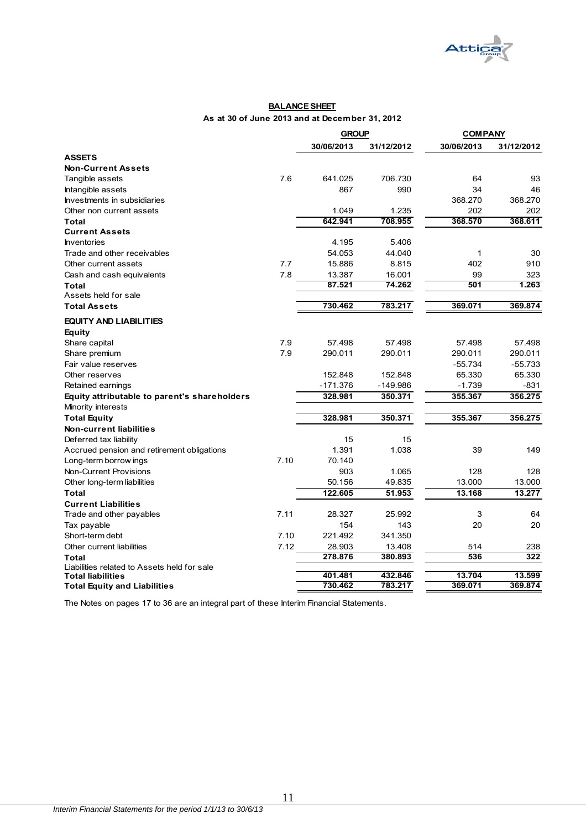

#### **BALANCE SHEET As at 30 of June 2013 and at December 31, 2012**

|                                              |      | <b>GROUP</b> |            | <b>COMPANY</b> |            |
|----------------------------------------------|------|--------------|------------|----------------|------------|
|                                              |      | 30/06/2013   | 31/12/2012 | 30/06/2013     | 31/12/2012 |
| <b>ASSETS</b>                                |      |              |            |                |            |
| <b>Non-Current Assets</b>                    |      |              |            |                |            |
| Tangible assets                              | 7.6  | 641.025      | 706.730    | 64             | 93         |
| Intangible assets                            |      | 867          | 990        | 34             | 46         |
| Investments in subsidiaries                  |      |              |            | 368.270        | 368.270    |
| Other non current assets                     |      | 1.049        | 1.235      | 202            | 202        |
| Total                                        |      | 642.941      | 708.955    | 368.570        | 368.611    |
| <b>Current Assets</b>                        |      |              |            |                |            |
| Inventories                                  |      | 4.195        | 5.406      |                |            |
| Trade and other receivables                  |      | 54.053       | 44.040     | 1              | 30         |
| Other current assets                         | 7.7  | 15.886       | 8.815      | 402            | 910        |
| Cash and cash equivalents                    | 7.8  | 13.387       | 16.001     | 99             | 323        |
| <b>Total</b>                                 |      | 87.521       | 74.262     | 501            | 1.263      |
| Assets held for sale                         |      |              |            |                |            |
| <b>Total Assets</b>                          |      | 730.462      | 783.217    | 369.071        | 369.874    |
| <b>EQUITY AND LIABILITIES</b>                |      |              |            |                |            |
| Equity                                       |      |              |            |                |            |
| Share capital                                | 7.9  | 57.498       | 57.498     | 57.498         | 57.498     |
| Share premium                                | 7.9  | 290.011      | 290.011    | 290.011        | 290.011    |
| Fair value reserves                          |      |              |            | $-55.734$      | $-55.733$  |
| Other reserves                               |      | 152.848      | 152.848    | 65.330         | 65.330     |
| Retained earnings                            |      | $-171.376$   | $-149.986$ | $-1.739$       | -831       |
| Equity attributable to parent's shareholders |      | 328.981      | 350.371    | 355.367        | 356.275    |
| Minority interests                           |      |              |            |                |            |
| <b>Total Equity</b>                          |      | 328.981      | 350.371    | 355.367        | 356.275    |
| <b>Non-current liabilities</b>               |      |              |            |                |            |
| Deferred tax liability                       |      | 15           | 15         |                |            |
| Accrued pension and retirement obligations   |      | 1.391        | 1.038      | 39             | 149        |
| Long-term borrow ings                        | 7.10 | 70.140       |            |                |            |
| Non-Current Provisions                       |      | 903          | 1.065      | 128            | 128        |
| Other long-term liabilities                  |      | 50.156       | 49.835     | 13.000         | 13.000     |
| <b>Total</b>                                 |      | 122.605      | 51.953     | 13.168         | 13.277     |
| <b>Current Liabilities</b>                   |      |              |            |                |            |
| Trade and other payables                     | 7.11 | 28.327       | 25.992     | 3              | 64         |
| Tax payable                                  |      | 154          | 143        | 20             | 20         |
| Short-term debt                              | 7.10 | 221.492      | 341.350    |                |            |
| Other current liabilities                    | 7.12 | 28.903       | 13.408     | 514            | 238        |
| Total                                        |      | 278.876      | 380.893    | 536            | 322        |
| Liabilities related to Assets held for sale  |      |              |            |                |            |
| <b>Total liabilities</b>                     |      | 401.481      | 432.846    | 13.704         | 13.599     |
| <b>Total Equity and Liabilities</b>          |      | 730.462      | 783.217    | 369.071        | 369.874    |

The Notes on pages 17 to 36 are an integral part of these Interim Financial Statements.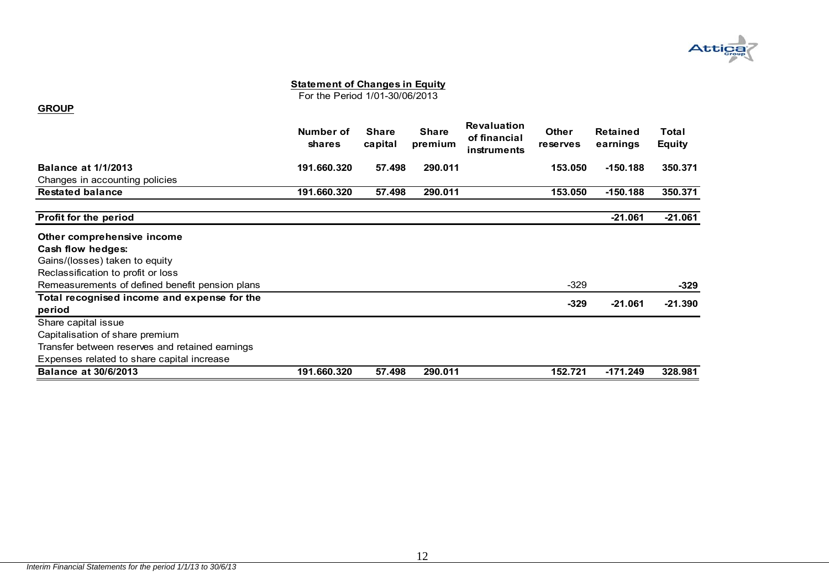

For the Period 1/01-30/06/2013

#### **GROUP**

|                                                 | Number of<br><b>shares</b> | <b>Share</b><br>capital | <b>Share</b><br>premium | <b>Revaluation</b><br>of financial<br>instruments | <b>Other</b><br><b>reserves</b> | <b>Retained</b><br>earnings | Total<br><b>Equity</b> |
|-------------------------------------------------|----------------------------|-------------------------|-------------------------|---------------------------------------------------|---------------------------------|-----------------------------|------------------------|
| <b>Balance at 1/1/2013</b>                      | 191.660.320                | 57.498                  | 290.011                 |                                                   | 153.050                         | $-150.188$                  | 350,371                |
| Changes in accounting policies                  |                            |                         |                         |                                                   |                                 |                             |                        |
| <b>Restated balance</b>                         | 191.660.320                | 57.498                  | 290.011                 |                                                   | 153.050                         | $-150.188$                  | 350.371                |
| Profit for the period                           |                            |                         |                         |                                                   |                                 | $-21.061$                   | $-21.061$              |
| Other comprehensive income                      |                            |                         |                         |                                                   |                                 |                             |                        |
| Cash flow hedges:                               |                            |                         |                         |                                                   |                                 |                             |                        |
| Gains/(losses) taken to equity                  |                            |                         |                         |                                                   |                                 |                             |                        |
| Reclassification to profit or loss              |                            |                         |                         |                                                   |                                 |                             |                        |
| Remeasurements of defined benefit pension plans |                            |                         |                         |                                                   | $-329$                          |                             | $-329$                 |
| Total recognised income and expense for the     |                            |                         |                         |                                                   |                                 |                             |                        |
| period                                          |                            |                         |                         |                                                   | $-329$                          | $-21.061$                   | $-21.390$              |
| Share capital issue                             |                            |                         |                         |                                                   |                                 |                             |                        |
| Capitalisation of share premium                 |                            |                         |                         |                                                   |                                 |                             |                        |
| Transfer between reserves and retained earnings |                            |                         |                         |                                                   |                                 |                             |                        |
| Expenses related to share capital increase      |                            |                         |                         |                                                   |                                 |                             |                        |
| <b>Balance at 30/6/2013</b>                     | 191.660.320                | 57.498                  | 290.011                 |                                                   | 152.721                         | $-171.249$                  | 328.981                |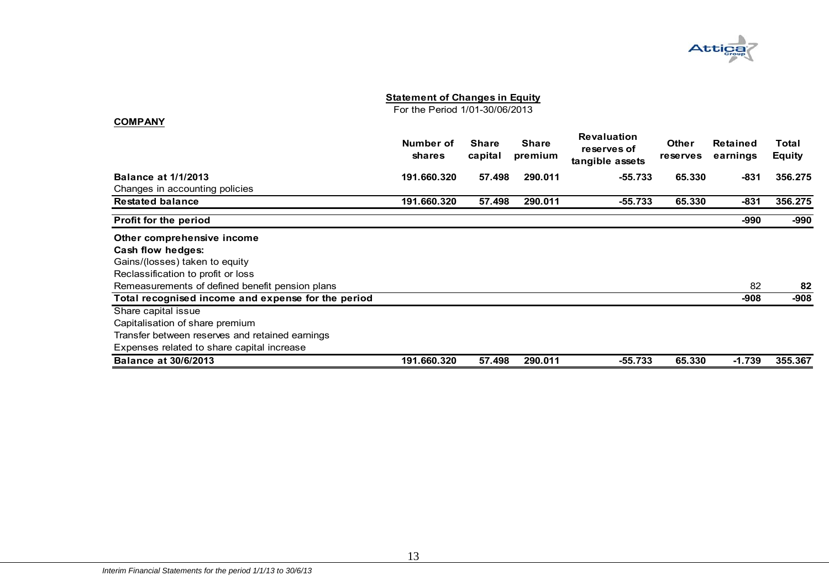For the Period 1/01-30/06/2013

|                                                    | Number of<br><b>shares</b> | <b>Share</b><br>capital | <b>Share</b><br>premium | <b>Revaluation</b><br>reserves of<br>tangible assets | <b>Other</b><br>reserves | Retained<br>earnings | Total<br><b>Equity</b> |
|----------------------------------------------------|----------------------------|-------------------------|-------------------------|------------------------------------------------------|--------------------------|----------------------|------------------------|
| <b>Balance at 1/1/2013</b>                         | 191.660.320                | 57.498                  | 290.011                 | $-55.733$                                            | 65.330                   | $-831$               | 356,275                |
| Changes in accounting policies                     |                            |                         |                         |                                                      |                          |                      |                        |
| <b>Restated balance</b>                            | 191.660.320                | 57.498                  | 290.011                 | $-55.733$                                            | 65.330                   | $-831$               | 356,275                |
| Profit for the period                              |                            |                         |                         |                                                      |                          | -990                 | -990                   |
| Other comprehensive income                         |                            |                         |                         |                                                      |                          |                      |                        |
| Cash flow hedges:                                  |                            |                         |                         |                                                      |                          |                      |                        |
| Gains/(losses) taken to equity                     |                            |                         |                         |                                                      |                          |                      |                        |
| Reclassification to profit or loss                 |                            |                         |                         |                                                      |                          |                      |                        |
| Remeasurements of defined benefit pension plans    |                            |                         |                         |                                                      |                          | 82                   | 82                     |
| Total recognised income and expense for the period |                            |                         |                         |                                                      |                          | -908                 | $-908$                 |
| Share capital issue                                |                            |                         |                         |                                                      |                          |                      |                        |
| Capitalisation of share premium                    |                            |                         |                         |                                                      |                          |                      |                        |
| Transfer between reserves and retained earnings    |                            |                         |                         |                                                      |                          |                      |                        |
| Expenses related to share capital increase         |                            |                         |                         |                                                      |                          |                      |                        |
| <b>Balance at 30/6/2013</b>                        | 191.660.320                | 57.498                  | 290.011                 | $-55.733$                                            | 65.330                   | $-1.739$             | 355,367                |

**COMPANY**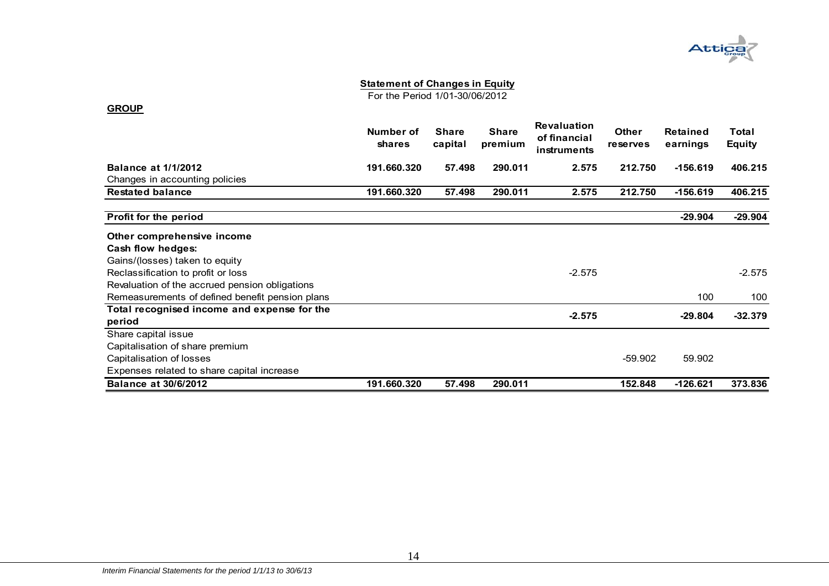

For the Period 1/01-30/06/2012

|                                                       | Number of<br>shares | <b>Share</b><br>capital | <b>Share</b><br>premium | <b>Revaluation</b><br>of financial<br>instruments | <b>Other</b><br><b>reserves</b> | <b>Retained</b><br>earnings | Total<br><b>Equity</b> |
|-------------------------------------------------------|---------------------|-------------------------|-------------------------|---------------------------------------------------|---------------------------------|-----------------------------|------------------------|
| <b>Balance at 1/1/2012</b>                            | 191.660.320         | 57.498                  | 290.011                 | 2.575                                             | 212.750                         | $-156.619$                  | 406.215                |
| Changes in accounting policies                        |                     |                         |                         |                                                   |                                 |                             |                        |
| <b>Restated balance</b>                               | 191.660.320         | 57.498                  | 290.011                 | 2.575                                             | 212.750                         | $-156.619$                  | 406.215                |
| Profit for the period                                 |                     |                         |                         |                                                   |                                 | $-29.904$                   | $-29.904$              |
| Other comprehensive income                            |                     |                         |                         |                                                   |                                 |                             |                        |
| Cash flow hedges:                                     |                     |                         |                         |                                                   |                                 |                             |                        |
| Gains/(losses) taken to equity                        |                     |                         |                         |                                                   |                                 |                             |                        |
| Reclassification to profit or loss                    |                     |                         |                         | $-2.575$                                          |                                 |                             | $-2.575$               |
| Revaluation of the accrued pension obligations        |                     |                         |                         |                                                   |                                 |                             |                        |
| Remeasurements of defined benefit pension plans       |                     |                         |                         |                                                   |                                 | 100                         | 100                    |
| Total recognised income and expense for the<br>period |                     |                         |                         | $-2.575$                                          |                                 | $-29.804$                   | $-32.379$              |
| Share capital issue                                   |                     |                         |                         |                                                   |                                 |                             |                        |
| Capitalisation of share premium                       |                     |                         |                         |                                                   |                                 |                             |                        |
| Capitalisation of losses                              |                     |                         |                         |                                                   | $-59.902$                       | 59.902                      |                        |
| Expenses related to share capital increase            |                     |                         |                         |                                                   |                                 |                             |                        |
| <b>Balance at 30/6/2012</b>                           | 191.660.320         | 57.498                  | 290.011                 |                                                   | 152.848                         | $-126.621$                  | 373.836                |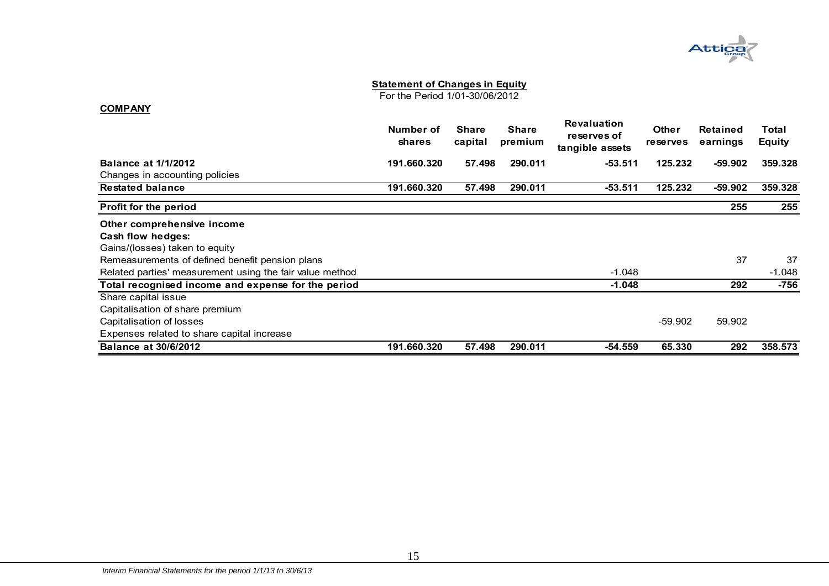

For the Period 1/01-30/06/2012

|                                                          | Number of<br><b>shares</b> | <b>Share</b><br>capital | <b>Share</b><br>premium | <b>Revaluation</b><br>reserves of<br>tangible assets | <b>Other</b><br><b>reserves</b> | Retained<br>earnings | <b>Total</b><br>Equity |
|----------------------------------------------------------|----------------------------|-------------------------|-------------------------|------------------------------------------------------|---------------------------------|----------------------|------------------------|
| <b>Balance at 1/1/2012</b>                               | 191.660.320                | 57.498                  | 290.011                 | $-53.511$                                            | 125.232                         | -59.902              | 359.328                |
| Changes in accounting policies                           |                            |                         |                         |                                                      |                                 |                      |                        |
| <b>Restated balance</b>                                  | 191.660.320                | 57.498                  | 290.011                 | $-53.511$                                            | 125.232                         | $-59.902$            | 359.328                |
| Profit for the period                                    |                            |                         |                         |                                                      |                                 | 255                  | 255                    |
| Other comprehensive income                               |                            |                         |                         |                                                      |                                 |                      |                        |
| Cash flow hedges:                                        |                            |                         |                         |                                                      |                                 |                      |                        |
| Gains/(losses) taken to equity                           |                            |                         |                         |                                                      |                                 |                      |                        |
| Remeasurements of defined benefit pension plans          |                            |                         |                         |                                                      |                                 | 37                   | 37                     |
| Related parties' measurement using the fair value method |                            |                         |                         | $-1.048$                                             |                                 |                      | $-1.048$               |
| Total recognised income and expense for the period       |                            |                         |                         | $-1.048$                                             |                                 | 292                  | $-756$                 |
| Share capital issue                                      |                            |                         |                         |                                                      |                                 |                      |                        |
| Capitalisation of share premium                          |                            |                         |                         |                                                      |                                 |                      |                        |
| Capitalisation of losses                                 |                            |                         |                         |                                                      | $-59.902$                       | 59.902               |                        |
| Expenses related to share capital increase               |                            |                         |                         |                                                      |                                 |                      |                        |
| <b>Balance at 30/6/2012</b>                              | 191.660.320                | 57.498                  | 290.011                 | $-54.559$                                            | 65,330                          | 292                  | 358,573                |

**COMPANY**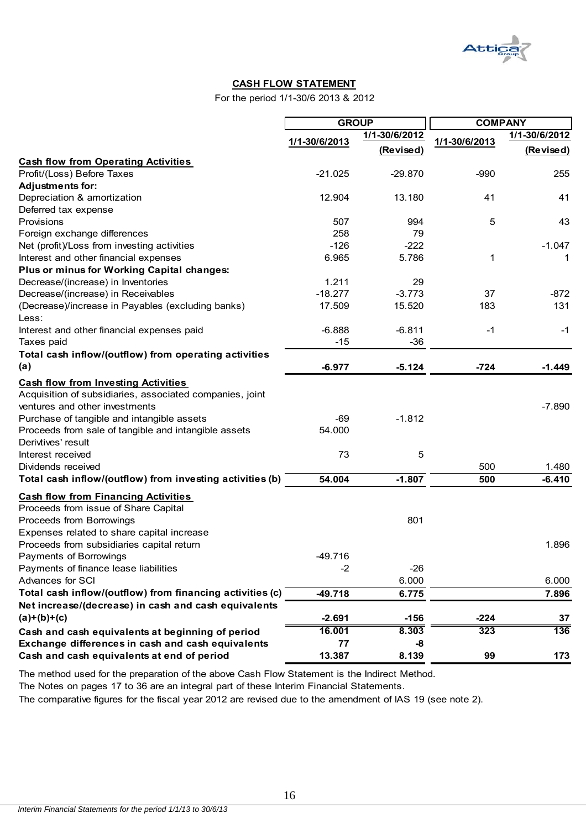

#### **CASH FLOW STATEMENT**

For the period 1/1-30/6 2013 & 2012

|                                                           |               | <b>GROUP</b>  |               | <b>COMPANY</b> |
|-----------------------------------------------------------|---------------|---------------|---------------|----------------|
|                                                           |               | 1/1-30/6/2012 |               | 1/1-30/6/2012  |
|                                                           | 1/1-30/6/2013 | (Revised)     | 1/1-30/6/2013 | (Revised)      |
| <b>Cash flow from Operating Activities</b>                |               |               |               |                |
| Profit/(Loss) Before Taxes                                | $-21.025$     | $-29.870$     | $-990$        | 255            |
| <b>Adjustments for:</b>                                   |               |               |               |                |
| Depreciation & amortization                               | 12.904        | 13.180        | 41            | 41             |
| Deferred tax expense                                      |               |               |               |                |
| Provisions                                                | 507           | 994           | 5             | 43             |
| Foreign exchange differences                              | 258           | 79            |               |                |
| Net (profit)/Loss from investing activities               | $-126$        | $-222$        |               | $-1.047$       |
| Interest and other financial expenses                     | 6.965         | 5.786         | 1             | 1              |
| Plus or minus for Working Capital changes:                |               |               |               |                |
| Decrease/(increase) in Inventories                        | 1.211         | 29            |               |                |
| Decrease/(increase) in Receivables                        | $-18.277$     | $-3.773$      | 37            | $-872$         |
| (Decrease)/increase in Payables (excluding banks)         | 17.509        | 15.520        | 183           | 131            |
| Less:                                                     |               |               |               |                |
| Interest and other financial expenses paid                | $-6.888$      | $-6.811$      | $-1$          | -1             |
| Taxes paid                                                | $-15$         | $-36$         |               |                |
| Total cash inflow/(outflow) from operating activities     |               |               |               |                |
| (a)                                                       | $-6.977$      | $-5.124$      | $-724$        | $-1.449$       |
| <b>Cash flow from Investing Activities</b>                |               |               |               |                |
| Acquisition of subsidiaries, associated companies, joint  |               |               |               |                |
| ventures and other investments                            |               |               |               | $-7.890$       |
| Purchase of tangible and intangible assets                | $-69$         | $-1.812$      |               |                |
| Proceeds from sale of tangible and intangible assets      | 54.000        |               |               |                |
| Derivtives' result                                        |               |               |               |                |
| Interest received                                         | 73            | 5             |               |                |
| Dividends received                                        |               |               | 500           | 1.480          |
| Total cash inflow/(outflow) from investing activities (b) | 54.004        | $-1.807$      | 500           | $-6.410$       |
| <b>Cash flow from Financing Activities</b>                |               |               |               |                |
| Proceeds from issue of Share Capital                      |               |               |               |                |
| Proceeds from Borrowings                                  |               | 801           |               |                |
| Expenses related to share capital increase                |               |               |               |                |
| Proceeds from subsidiaries capital return                 |               |               |               | 1.896          |
| Payments of Borrowings                                    | 49.716        |               |               |                |
| Payments of finance lease liabilities                     | $-2$          | $-26$         |               |                |
| Advances for SCI                                          |               | 6.000         |               | 6.000          |
| Total cash inflow/(outflow) from financing activities (c) | $-49.718$     | 6.775         |               | 7.896          |
| Net increase/(decrease) in cash and cash equivalents      |               |               |               |                |
| $(a)+(b)+(c)$                                             | $-2.691$      | $-156$        | $-224$        | 37             |
| Cash and cash equivalents at beginning of period          | 16.001        | 8.303         | 323           | 136            |
| Exchange differences in cash and cash equivalents         | 77            | -8            |               |                |
| Cash and cash equivalents at end of period                | 13.387        | 8.139         | 99            | 173            |

The method used for the preparation of the above Cash Flow Statement is the Indirect Method.

The Notes on pages 17 to 36 are an integral part of these Interim Financial Statements.

The comparative figures for the fiscal year 2012 are revised due to the amendment of IAS 19 (see note 2).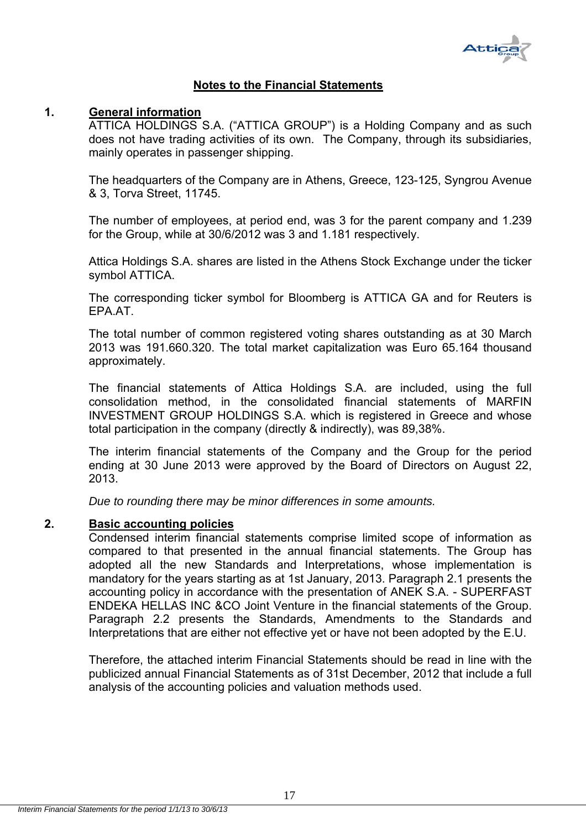

#### **Notes to the Financial Statements**

#### **1. General information**

ATTICA HOLDINGS S.A. ("ATTICA GROUP") is a Holding Company and as such does not have trading activities of its own. The Company, through its subsidiaries, mainly operates in passenger shipping.

The headquarters of the Company are in Athens, Greece, 123-125, Syngrou Avenue & 3, Torva Street, 11745.

The number of employees, at period end, was 3 for the parent company and 1.239 for the Group, while at 30/6/2012 was 3 and 1.181 respectively.

Attica Holdings S.A. shares are listed in the Athens Stock Exchange under the ticker symbol ATTICA.

The corresponding ticker symbol for Bloomberg is ATTICA GA and for Reuters is EPA.AT.

The total number of common registered voting shares outstanding as at 30 March 2013 was 191.660.320. The total market capitalization was Euro 65.164 thousand approximately.

The financial statements of Attica Holdings S.A. are included, using the full consolidation method, in the consolidated financial statements of MARFIN INVESTMENT GROUP HOLDINGS S.A. which is registered in Greece and whose total participation in the company (directly & indirectly), was 89,38%.

The interim financial statements of the Company and the Group for the period ending at 30 June 2013 were approved by the Board of Directors on August 22, 2013.

*Due to rounding there may be minor differences in some amounts.* 

#### **2. Basic accounting policies**

Condensed interim financial statements comprise limited scope of information as compared to that presented in the annual financial statements. The Group has adopted all the new Standards and Interpretations, whose implementation is mandatory for the years starting as at 1st January, 2013. Paragraph 2.1 presents the accounting policy in accordance with the presentation of ANEK S.A. - SUPERFAST ENDEKA HELLAS INC &CO Joint Venture in the financial statements of the Group. Paragraph 2.2 presents the Standards, Amendments to the Standards and Interpretations that are either not effective yet or have not been adopted by the E.U.

Therefore, the attached interim Financial Statements should be read in line with the publicized annual Financial Statements as of 31st December, 2012 that include a full analysis of the accounting policies and valuation methods used.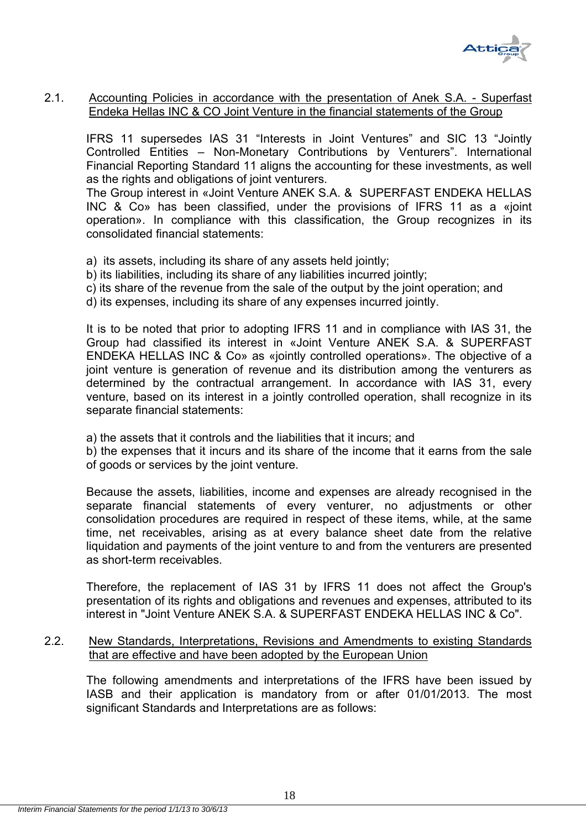

#### 2.1. Accounting Policies in accordance with the presentation of Anek S.A. - Superfast Endeka Hellas INC & CO Joint Venture in the financial statements of the Group

IFRS 11 supersedes IAS 31 "Interests in Joint Ventures" and SIC 13 "Jointly Controlled Entities – Non-Monetary Contributions by Venturers". International Financial Reporting Standard 11 aligns the accounting for these investments, as well as the rights and obligations of joint venturers.

The Group interest in «Joint Venture ΑΝΕΚ S.A. & SUPERFAST ENDEKA HELLAS INC & Co» has been classified, under the provisions of IFRS 11 as a «joint operation». In compliance with this classification, the Group recognizes in its consolidated financial statements:

- a) its assets, including its share of any assets held jointly;
- b) its liabilities, including its share of any liabilities incurred jointly;
- c) its share of the revenue from the sale of the output by the joint operation; and
- d) its expenses, including its share of any expenses incurred jointly.

It is to be noted that prior to adopting IFRS 11 and in compliance with IAS 31, the Group had classified its interest in «Joint Venture ΑΝΕΚ S.A. & SUPERFAST ENDEKA HELLAS INC & Co» as «jointly controlled operations». The objective of a joint venture is generation of revenue and its distribution among the venturers as determined by the contractual arrangement. In accordance with IAS 31, every venture, based on its interest in a jointly controlled operation, shall recognize in its separate financial statements:

a) the assets that it controls and the liabilities that it incurs; and

b) the expenses that it incurs and its share of the income that it earns from the sale of goods or services by the joint venture.

Because the assets, liabilities, income and expenses are already recognised in the separate financial statements of every venturer, no adjustments or other consolidation procedures are required in respect of these items, while, at the same time, net receivables, arising as at every balance sheet date from the relative liquidation and payments of the joint venture to and from the venturers are presented as short-term receivables.

Therefore, the replacement of IAS 31 by IFRS 11 does not affect the Group's presentation of its rights and obligations and revenues and expenses, attributed to its interest in "Joint Venture ΑΝΕΚ S.A. & SUPERFAST ENDEKA HELLAS INC & Co".

2.2. New Standards, Interpretations, Revisions and Amendments to existing Standards that are effective and have been adopted by the European Union

The following amendments and interpretations of the IFRS have been issued by IASB and their application is mandatory from or after 01/01/2013. The most significant Standards and Interpretations are as follows: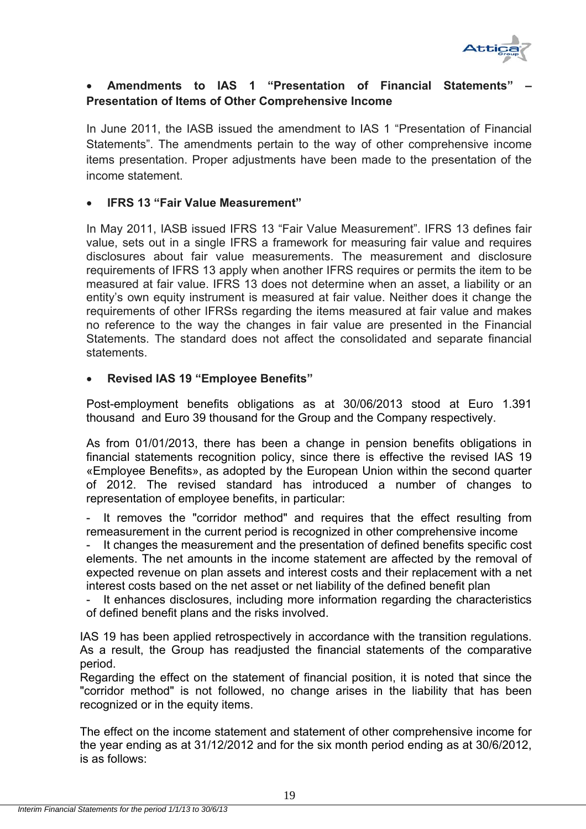

#### Amendments to IAS 1 "Presentation of Financial Statements **Presentation of Items of Other Comprehensive Income**

In June 2011, the IASB issued the amendment to IAS 1 "Presentation of Financial Statements". The amendments pertain to the way of other comprehensive income items presentation. Proper adjustments have been made to the presentation of the income statement.

#### **IFRS 13 "Fair Value Measurement"**

In May 2011, IASB issued IFRS 13 "Fair Value Measurement". IFRS 13 defines fair value, sets out in a single IFRS a framework for measuring fair value and requires disclosures about fair value measurements. The measurement and disclosure requirements of IFRS 13 apply when another IFRS requires or permits the item to be measured at fair value. IFRS 13 does not determine when an asset, a liability or an entity's own equity instrument is measured at fair value. Neither does it change the requirements of other IFRSs regarding the items measured at fair value and makes no reference to the way the changes in fair value are presented in the Financial Statements. The standard does not affect the consolidated and separate financial statements.

#### **Revised IAS 19 "Employee Benefits"**

Post-employment benefits obligations as at 30/06/2013 stood at Euro 1.391 thousand and Euro 39 thousand for the Group and the Company respectively.

As from 01/01/2013, there has been a change in pension benefits obligations in financial statements recognition policy, since there is effective the revised IAS 19 «Employee Benefits», as adopted by the European Union within the second quarter of 2012. The revised standard has introduced a number of changes to representation of employee benefits, in particular:

It removes the "corridor method" and requires that the effect resulting from remeasurement in the current period is recognized in other comprehensive income

It changes the measurement and the presentation of defined benefits specific cost elements. The net amounts in the income statement are affected by the removal of expected revenue on plan assets and interest costs and their replacement with a net interest costs based on the net asset or net liability of the defined benefit plan

It enhances disclosures, including more information regarding the characteristics of defined benefit plans and the risks involved.

IAS 19 has been applied retrospectively in accordance with the transition regulations. As a result, the Group has readjusted the financial statements of the comparative period.

Regarding the effect on the statement of financial position, it is noted that since the "corridor method" is not followed, no change arises in the liability that has been recognized or in the equity items.

The effect on the income statement and statement of other comprehensive income for the year ending as at 31/12/2012 and for the six month period ending as at 30/6/2012, is as follows: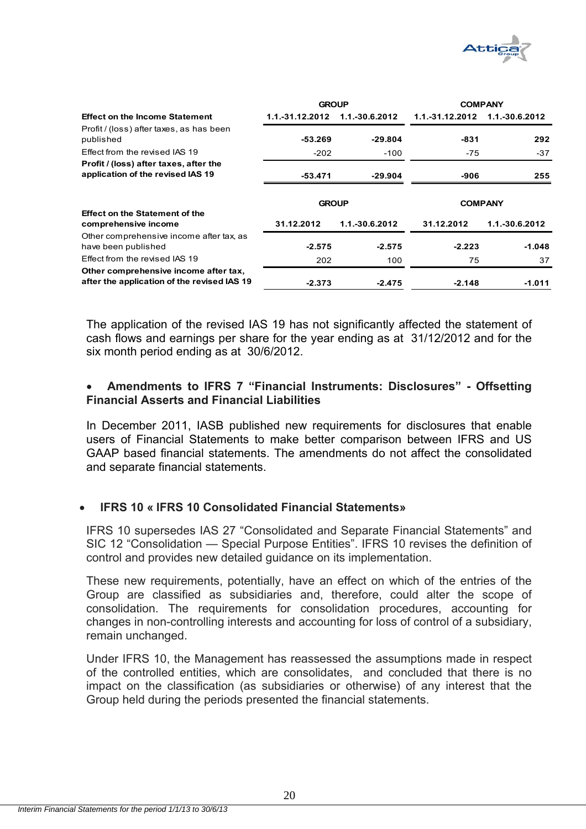

|                                                                                      | <b>GROUP</b>    |                | <b>COMPANY</b>  |                |  |
|--------------------------------------------------------------------------------------|-----------------|----------------|-----------------|----------------|--|
| <b>Effect on the Income Statement</b>                                                | 1.1.-31.12.2012 | 1.1.-30.6.2012 | 1.1.-31.12.2012 | 1.1.-30.6.2012 |  |
| Profit / (loss) after taxes, as has been<br>published                                | -53.269         | $-29.804$      | -831            | 292            |  |
| Effect from the revised IAS 19                                                       | $-202$          | $-100$         | $-75$           | $-37$          |  |
| Profit / (loss) after taxes, after the<br>application of the revised IAS 19          | -53.471         | $-29.904$      | -906            | 255            |  |
| <b>Effect on the Statement of the</b>                                                | <b>GROUP</b>    |                | <b>COMPANY</b>  |                |  |
| comprehensive income                                                                 | 31.12.2012      | 1.1.-30.6.2012 | 31.12.2012      | 1.1.-30.6.2012 |  |
| Other comprehensive income after tax, as<br>have been published                      | $-2.575$        | $-2.575$       | $-2.223$        | $-1.048$       |  |
| Effect from the revised IAS 19                                                       | 202             | 100            | 75              | 37             |  |
| Other comprehensive income after tax,<br>after the application of the revised IAS 19 | $-2.373$        | $-2.475$       | $-2.148$        | $-1.011$       |  |

The application of the revised IAS 19 has not significantly affected the statement of cash flows and earnings per share for the year ending as at 31/12/2012 and for the six month period ending as at 30/6/2012.

#### **Amendments to IFRS 7 "Financial Instruments: Disclosures" - Offsetting Financial Asserts and Financial Liabilities**

In December 2011, IASB published new requirements for disclosures that enable users of Financial Statements to make better comparison between IFRS and US GAAP based financial statements. The amendments do not affect the consolidated and separate financial statements.

#### **IFRS 10 « IFRS 10 Consolidated Financial Statements»**

IFRS 10 supersedes IAS 27 "Consolidated and Separate Financial Statements" and SIC 12 "Consolidation — Special Purpose Entities". IFRS 10 revises the definition of control and provides new detailed guidance on its implementation.

These new requirements, potentially, have an effect on which of the entries of the Group are classified as subsidiaries and, therefore, could alter the scope of consolidation. The requirements for consolidation procedures, accounting for changes in non-controlling interests and accounting for loss of control of a subsidiary, remain unchanged.

Under IFRS 10, the Management has reassessed the assumptions made in respect of the controlled entities, which are consolidates, and concluded that there is no impact on the classification (as subsidiaries or otherwise) of any interest that the Group held during the periods presented the financial statements.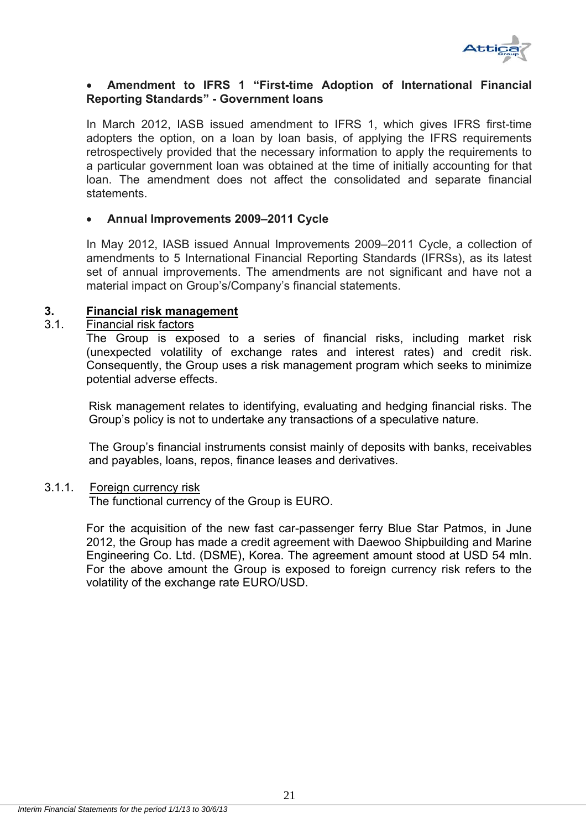

#### **Amendment to IFRS 1 "First-time Adoption of International Financial Reporting Standards" - Government loans**

In March 2012, IASB issued amendment to IFRS 1, which gives IFRS first-time adopters the option, on a loan by loan basis, of applying the IFRS requirements retrospectively provided that the necessary information to apply the requirements to a particular government loan was obtained at the time of initially accounting for that loan. The amendment does not affect the consolidated and separate financial statements.

#### **Annual Improvements 2009–2011 Cycle**

In May 2012, IASB issued Annual Improvements 2009–2011 Cycle, a collection of amendments to 5 International Financial Reporting Standards (IFRSs), as its latest set of annual improvements. The amendments are not significant and have not a material impact on Group's/Company's financial statements.

#### **3. Financial risk management**

#### 3.1. Financial risk factors

The Group is exposed to a series of financial risks, including market risk (unexpected volatility of exchange rates and interest rates) and credit risk. Consequently, the Group uses a risk management program which seeks to minimize potential adverse effects.

Risk management relates to identifying, evaluating and hedging financial risks. The Group's policy is not to undertake any transactions of a speculative nature.

The Group's financial instruments consist mainly of deposits with banks, receivables and payables, loans, repos, finance leases and derivatives.

#### 3.1.1. Foreign currency risk

The functional currency of the Group is EURO.

For the acquisition of the new fast car-passenger ferry Blue Star Patmos, in June 2012, the Group has made a credit agreement with Daewoo Shipbuilding and Marine Engineering Co. Ltd. (DSME), Korea. The agreement amount stood at USD 54 mln. For the above amount the Group is exposed to foreign currency risk refers to the volatility of the exchange rate EURO/USD.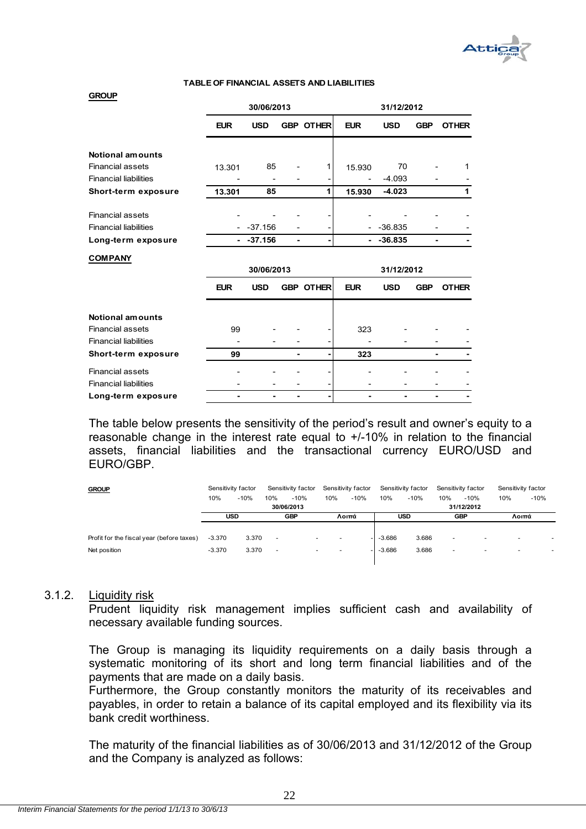

#### **TABLE OF FINANCIAL ASSETS AND LIABILITIES**

## **GROUP EUR USD GBP OTHER EUR USD GBP OTHER Notional amounts** Financial assets 13.301 85 - 1 15.930 70 - 1 Financial liabilities **- - - - - - - - - - -4.093** - - -**Short-term exposure 13.301 85 1 15.930 -4.023 1** Financial assets Financial liabilities - -37.156 - - - -36.835 - - **Long-term exposure**  - -37.156 - - - - - - - - 36.835 - - - -**30/06/2013 31/12/2012**

| <b>COMPANY</b>               |            |            |                  |            |            |            |              |
|------------------------------|------------|------------|------------------|------------|------------|------------|--------------|
|                              |            | 30/06/2013 |                  |            | 31/12/2012 |            |              |
|                              | <b>EUR</b> | <b>USD</b> | <b>GBP OTHER</b> | <b>EUR</b> | <b>USD</b> | <b>GBP</b> | <b>OTHER</b> |
|                              |            |            |                  |            |            |            |              |
| Notional amounts             |            |            |                  |            |            |            |              |
| <b>Financial assets</b>      | 99         |            |                  | 323        |            |            |              |
| <b>Financial liabilities</b> |            |            |                  |            |            |            |              |
| Short-term exposure          | 99         |            |                  | 323        |            |            |              |
| Financial assets             |            |            |                  |            |            |            |              |
| <b>Financial liabilities</b> |            |            |                  |            |            |            |              |
| Long-term exposure           |            |            |                  |            |            |            |              |

The table below presents the sensitivity of the period's result and owner's equity to a reasonable change in the interest rate equal to +/-10% in relation to the financial assets, financial liabilities and the transactional currency EURO/USD and EURO/GBP.

| <b>GROUP</b>                              | Sensitivity factor |        |                          | Sensitivity factor |                          | Sensitivity factor |          | Sensitivity factor |                          | Sensitivity factor       | Sensitivity factor |        |
|-------------------------------------------|--------------------|--------|--------------------------|--------------------|--------------------------|--------------------|----------|--------------------|--------------------------|--------------------------|--------------------|--------|
|                                           | 10%                | $-10%$ | 10%                      | $-10%$             | 10%                      | $-10%$             | 10%      | $-10%$             | 10%                      | $-10%$                   | 10%                | $-10%$ |
|                                           |                    |        |                          | 30/06/2013         |                          |                    |          |                    |                          | 31/12/2012               |                    |        |
|                                           | <b>USD</b>         |        |                          | <b>GBP</b>         |                          | Λοιπά              |          | <b>USD</b>         |                          | <b>GBP</b>               |                    | Λοιπά  |
|                                           |                    |        |                          |                    |                          |                    |          |                    |                          |                          |                    |        |
| Profit for the fiscal year (before taxes) | $-3.370$           | 3.370  | $\overline{\phantom{a}}$ |                    |                          |                    | $-3.686$ | 3.686              | $\overline{\phantom{a}}$ | $\overline{\phantom{a}}$ |                    |        |
| Net position                              | $-3.370$           | 3.370  | $\overline{\phantom{a}}$ | $\sim$             | $\overline{\phantom{a}}$ |                    | $-3.686$ | 3.686              | $\sim$                   | $\overline{\phantom{a}}$ |                    |        |
|                                           |                    |        |                          |                    |                          |                    |          |                    |                          |                          |                    |        |

#### 3.1.2. Liquidity risk

Prudent liquidity risk management implies sufficient cash and availability of necessary available funding sources.

The Group is managing its liquidity requirements on a daily basis through a systematic monitoring οf its short and long term financial liabilities and of the payments that are made on a daily basis.

Furthermore, the Group constantly monitors the maturity of its receivables and payables, in order to retain a balance of its capital employed and its flexibility via its bank credit worthiness.

The maturity of the financial liabilities as of 30/06/2013 and 31/12/2012 of the Group and the Company is analyzed as follows: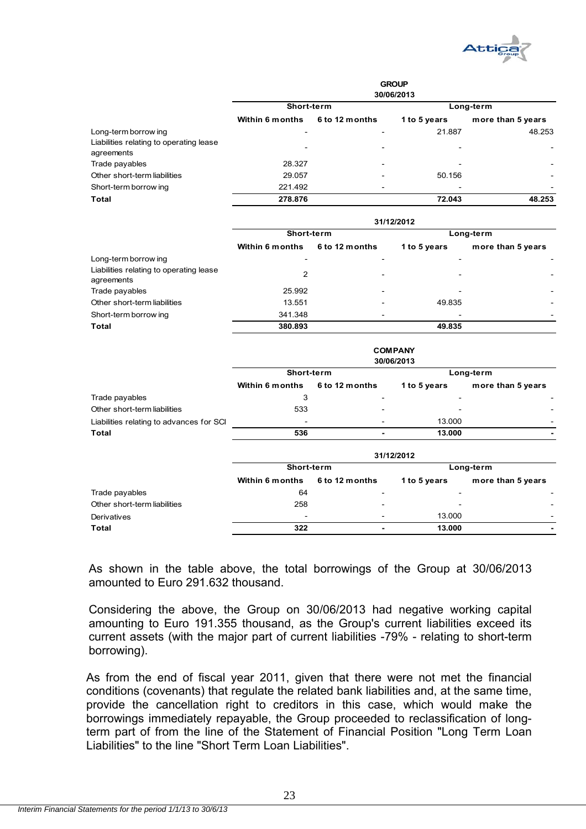

|                                                       | <b>GROUP</b><br>30/06/2013 |                          |              |                   |  |  |  |
|-------------------------------------------------------|----------------------------|--------------------------|--------------|-------------------|--|--|--|
|                                                       | Short-term                 |                          |              | Long-term         |  |  |  |
|                                                       | Within 6 months            | 6 to 12 months           | 1 to 5 years | more than 5 years |  |  |  |
| Long-term borrow ing                                  |                            |                          | 21.887       | 48.253            |  |  |  |
| Liabilities relating to operating lease<br>agreements | $\overline{\phantom{0}}$   | $\overline{\phantom{0}}$ |              |                   |  |  |  |
| Trade payables                                        | 28.327                     |                          |              |                   |  |  |  |
| Other short-term liabilities                          | 29.057                     |                          | 50.156       |                   |  |  |  |
| Short-term borrow ing                                 | 221.492                    |                          |              |                   |  |  |  |
| <b>Total</b>                                          | 278.876                    |                          | 72.043       | 48.253            |  |  |  |

|                                                       | 31/12/2012      |                          |                          |                   |  |  |  |  |
|-------------------------------------------------------|-----------------|--------------------------|--------------------------|-------------------|--|--|--|--|
|                                                       | Short-term      |                          | Long-term                |                   |  |  |  |  |
|                                                       | Within 6 months | 6 to 12 months           | 1 to 5 years             | more than 5 years |  |  |  |  |
| Long-term borrow ing                                  |                 |                          |                          |                   |  |  |  |  |
| Liabilities relating to operating lease<br>agreements | 2               |                          | $\overline{\phantom{0}}$ |                   |  |  |  |  |
| Trade payables                                        | 25.992          |                          |                          |                   |  |  |  |  |
| Other short-term liabilities                          | 13.551          |                          | 49.835                   |                   |  |  |  |  |
| Short-term borrow ing                                 | 341.348         | $\overline{\phantom{0}}$ | $\overline{\phantom{0}}$ |                   |  |  |  |  |
| Total                                                 | 380.893         |                          | 49.835                   |                   |  |  |  |  |

|                                          | <b>COMPANY</b><br>30/06/2013 |                |                          |                          |  |  |  |
|------------------------------------------|------------------------------|----------------|--------------------------|--------------------------|--|--|--|
|                                          | Short-term                   |                |                          | Long-term                |  |  |  |
|                                          | <b>Within 6 months</b>       | 6 to 12 months | 1 to 5 years             | more than 5 years        |  |  |  |
| Trade payables                           | 3                            |                | $\overline{\phantom{a}}$ |                          |  |  |  |
| Other short-term liabilities             | 533                          | ۰              | -                        |                          |  |  |  |
| Liabilities relating to advances for SCI |                              |                | 13.000                   | $\overline{\phantom{a}}$ |  |  |  |
| <b>Total</b>                             | 536                          |                | 13.000                   | -                        |  |  |  |
|                                          |                              |                | 31/12/2012               |                          |  |  |  |

|                              | Short-term      |                          | Long-term                |                   |  |
|------------------------------|-----------------|--------------------------|--------------------------|-------------------|--|
|                              | Within 6 months | 6 to 12 months           | 1 to 5 years             | more than 5 years |  |
| Trade payables               | 64              | $\overline{\phantom{0}}$ | $\overline{\phantom{0}}$ |                   |  |
| Other short-term liabilities | 258             |                          | $\overline{\phantom{0}}$ |                   |  |
| Derivatives                  | -               | $\overline{\phantom{a}}$ | 13.000                   |                   |  |
| Total                        | 322             |                          | 13.000                   |                   |  |

As shown in the table above, the total borrowings of the Group at 30/06/2013 amounted to Euro 291.632 thousand.

Considering the above, the Group on 30/06/2013 had negative working capital amounting to Euro 191.355 thousand, as the Group's current liabilities exceed its current assets (with the major part of current liabilities -79% - relating to short-term borrowing).

As from the end of fiscal year 2011, given that there were not met the financial conditions (covenants) that regulate the related bank liabilities and, at the same time, provide the cancellation right to creditors in this case, which would make the borrowings immediately repayable, the Group proceeded to reclassification of longterm part of from the line of the Statement of Financial Position "Long Term Loan Liabilities" to the line "Short Term Loan Liabilities".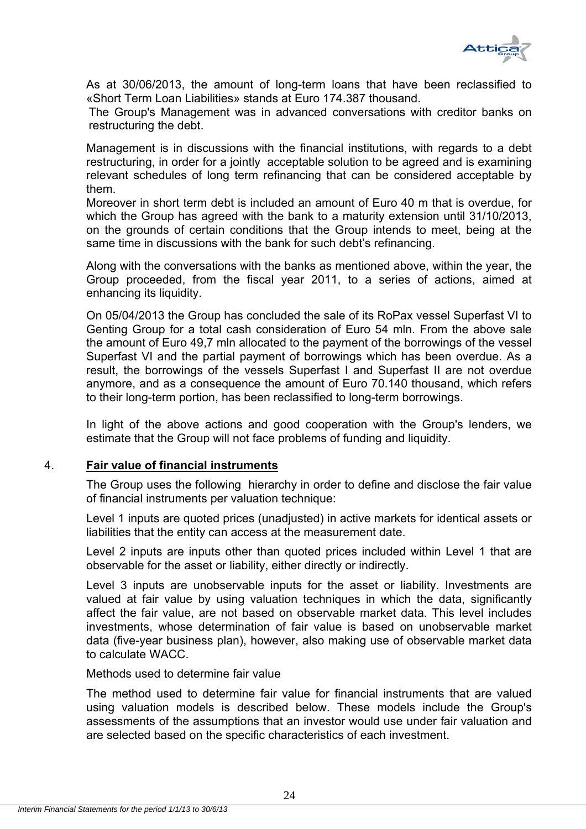

As at 30/06/2013, the amount of long-term loans that have been reclassified to «Short Term Loan Liabilities» stands at Euro 174.387 thousand.

The Group's Management was in advanced conversations with creditor banks on restructuring the debt.

Management is in discussions with the financial institutions, with regards to a debt restructuring, in order for a jointly acceptable solution to be agreed and is examining relevant schedules of long term refinancing that can be considered acceptable by them.

Moreover in short term debt is included an amount of Euro 40 m that is overdue, for which the Group has agreed with the bank to a maturity extension until 31/10/2013, on the grounds of certain conditions that the Group intends to meet, being at the same time in discussions with the bank for such debt's refinancing.

Along with the conversations with the banks as mentioned above, within the year, the Group proceeded, from the fiscal year 2011, to a series of actions, aimed at enhancing its liquidity.

On 05/04/2013 the Group has concluded the sale of its RoPax vessel Superfast VI to Genting Group for a total cash consideration of Euro 54 mln. From the above sale the amount of Euro 49,7 mln allocated to the payment of the borrowings of the vessel Superfast VI and the partial payment of borrowings which has been overdue. As a result, the borrowings of the vessels Superfast I and Superfast II are not overdue anymore, and as a consequence the amount of Euro 70.140 thousand, which refers to their long-term portion, has been reclassified to long-term borrowings.

In light of the above actions and good cooperation with the Group's lenders, we estimate that the Group will not face problems of funding and liquidity.

#### 4. **Fair value of financial instruments**

The Group uses the following hierarchy in order to define and disclose the fair value of financial instruments per valuation technique:

Level 1 inputs are quoted prices (unadjusted) in active markets for identical assets or liabilities that the entity can access at the measurement date.

Level 2 inputs are inputs other than quoted prices included within Level 1 that are observable for the asset or liability, either directly or indirectly.

Level 3 inputs are unobservable inputs for the asset or liability. Investments are valued at fair value by using valuation techniques in which the data, significantly affect the fair value, are not based on observable market data. This level includes investments, whose determination of fair value is based on unobservable market data (five-year business plan), however, also making use of observable market data to calculate WACC.

#### Methods used to determine fair value

The method used to determine fair value for financial instruments that are valued using valuation models is described below. These models include the Group's assessments of the assumptions that an investor would use under fair valuation and are selected based on the specific characteristics of each investment.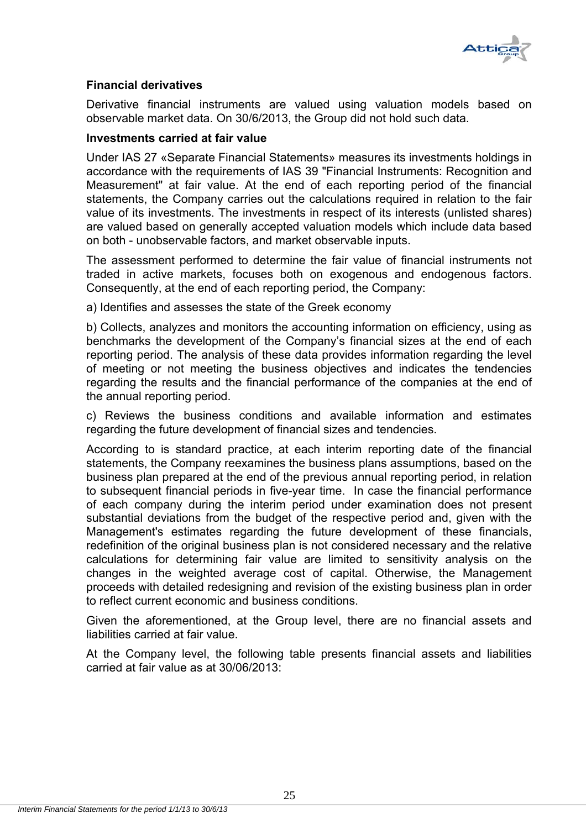

#### **Financial derivatives**

Derivative financial instruments are valued using valuation models based on observable market data. On 30/6/2013, the Group did not hold such data.

#### **Investments carried at fair value**

Under IAS 27 «Separate Financial Statements» measures its investments holdings in accordance with the requirements of IAS 39 "Financial Instruments: Recognition and Measurement" at fair value. At the end of each reporting period of the financial statements, the Company carries out the calculations required in relation to the fair value of its investments. The investments in respect of its interests (unlisted shares) are valued based on generally accepted valuation models which include data based on both - unobservable factors, and market observable inputs.

The assessment performed to determine the fair value of financial instruments not traded in active markets, focuses both on exogenous and endogenous factors. Consequently, at the end of each reporting period, the Company:

a) Identifies and assesses the state of the Greek economy

b) Collects, analyzes and monitors the accounting information on efficiency, using as benchmarks the development of the Company's financial sizes at the end of each reporting period. The analysis of these data provides information regarding the level of meeting or not meeting the business objectives and indicates the tendencies regarding the results and the financial performance of the companies at the end of the annual reporting period.

c) Reviews the business conditions and available information and estimates regarding the future development of financial sizes and tendencies.

According to is standard practice, at each interim reporting date of the financial statements, the Company reexamines the business plans assumptions, based on the business plan prepared at the end of the previous annual reporting period, in relation to subsequent financial periods in five-year time. In case the financial performance of each company during the interim period under examination does not present substantial deviations from the budget of the respective period and, given with the Management's estimates regarding the future development of these financials, redefinition of the original business plan is not considered necessary and the relative calculations for determining fair value are limited to sensitivity analysis on the changes in the weighted average cost of capital. Otherwise, the Management proceeds with detailed redesigning and revision of the existing business plan in order to reflect current economic and business conditions.

Given the aforementioned, at the Group level, there are no financial assets and liabilities carried at fair value.

At the Company level, the following table presents financial assets and liabilities carried at fair value as at 30/06/2013: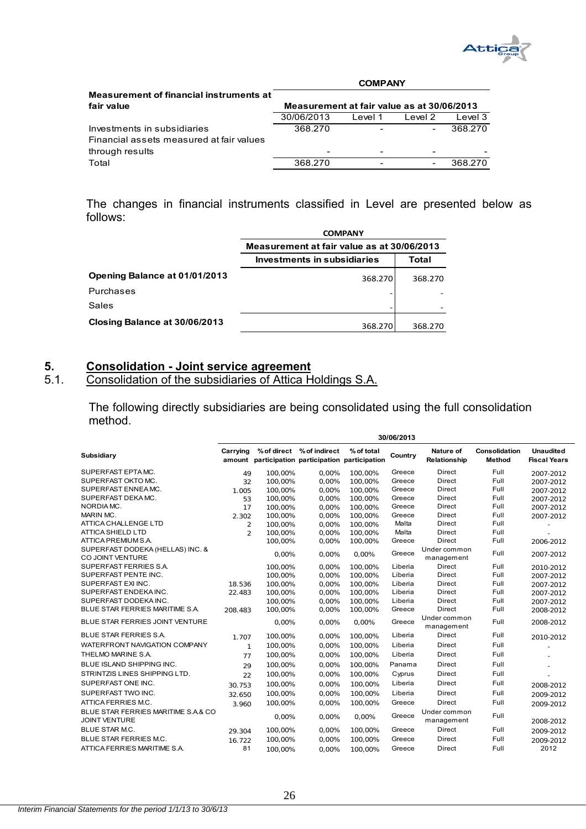

|                                          |                                            | <b>COMPANY</b> |                              |         |
|------------------------------------------|--------------------------------------------|----------------|------------------------------|---------|
| Measurement of financial instruments at  |                                            |                |                              |         |
| fair value                               | Measurement at fair value as at 30/06/2013 |                |                              |         |
|                                          | 30/06/2013                                 | Level 1        | Ievel 2                      | Level 3 |
| Investments in subsidiaries              | 368.270                                    |                | $\qquad \qquad \blacksquare$ | 368.270 |
| Financial assets measured at fair values |                                            |                |                              |         |
| through results                          |                                            |                |                              |         |
| Total                                    | 368,270                                    |                | -                            | 368.270 |

The changes in financial instruments classified in Level are presented below as follows:

|                               | <b>COMPANY</b>                             |         |  |  |  |  |
|-------------------------------|--------------------------------------------|---------|--|--|--|--|
|                               | Measurement at fair value as at 30/06/2013 |         |  |  |  |  |
|                               | Investments in subsidiaries                | Total   |  |  |  |  |
| Opening Balance at 01/01/2013 | 368.270                                    | 368,270 |  |  |  |  |
| Purchases                     |                                            |         |  |  |  |  |
| Sales                         |                                            |         |  |  |  |  |
| Closing Balance at 30/06/2013 | 368.270                                    | 368.270 |  |  |  |  |

# **5.** Consolidation - Joint service agreement<br>5.1. Consolidation of the subsidiaries of Attica H

## 5.1. Consolidation of the subsidiaries of Attica Holdings S.A.

The following directly subsidiaries are being consolidated using the full consolidation method.

|                                                             | 30/06/2013     |         |                           |                                                                |         |                            |                         |                                         |
|-------------------------------------------------------------|----------------|---------|---------------------------|----------------------------------------------------------------|---------|----------------------------|-------------------------|-----------------------------------------|
| Subsidiary                                                  | Carrying       |         | % of direct % of indirect | % of total<br>amount participation participation participation | Country | Nature of<br>Relationship  | Consolidation<br>Method | <b>Unaudited</b><br><b>Fiscal Years</b> |
| SUPERFAST EPTAMC.                                           | 49             | 100.00% | 0.00%                     | 100.00%                                                        | Greece  | <b>Direct</b>              | Full                    | 2007-2012                               |
| SUPERFAST OKTO MC.                                          | 32             | 100.00% | 0.00%                     | 100.00%                                                        | Greece  | <b>Direct</b>              | Full                    | 2007-2012                               |
| SUPERFAST ENNEA MC.                                         | 1.005          | 100,00% | 0,00%                     | 100,00%                                                        | Greece  | <b>Direct</b>              | Full                    | 2007-2012                               |
| SUPERFAST DEKAMC.                                           | 53             | 100,00% | 0,00%                     | 100,00%                                                        | Greece  | <b>Direct</b>              | Full                    | 2007-2012                               |
| NORDIA MC.                                                  | 17             | 100.00% | 0.00%                     | 100.00%                                                        | Greece  | <b>Direct</b>              | Full                    | 2007-2012                               |
| MARIN MC.                                                   | 2.302          | 100,00% | 0,00%                     | 100,00%                                                        | Greece  | <b>Direct</b>              | Full                    | 2007-2012                               |
| <b>ATTICA CHALLENGE LTD</b>                                 | $\overline{2}$ | 100.00% | 0.00%                     | 100.00%                                                        | Malta   | Direct                     | Full                    |                                         |
| <b>ATTICA SHIELD LTD</b>                                    | $\overline{2}$ | 100,00% | 0,00%                     | 100,00%                                                        | Malta   | <b>Direct</b>              | Full                    |                                         |
| ATTICA PREMIUM S.A.                                         |                | 100.00% | 0.00%                     | 100,00%                                                        | Greece  | <b>Direct</b>              | Full                    | 2006-2012                               |
| SUPERFAST DODEKA (HELLAS) INC. &<br>CO JOINT VENTURE        |                | 0.00%   | 0.00%                     | 0.00%                                                          | Greece  | Under common<br>management | Full                    | 2007-2012                               |
| SUPERFAST FERRIES S.A.                                      |                | 100.00% | 0.00%                     | 100.00%                                                        | Liberia | Direct                     | Full                    | 2010-2012                               |
| SUPERFAST PENTE INC.                                        |                | 100.00% | 0.00%                     | 100.00%                                                        | Liberia | <b>Direct</b>              | Full                    | 2007-2012                               |
| SUPERFAST EXI INC.                                          | 18.536         | 100,00% | 0.00%                     | 100,00%                                                        | Liberia | <b>Direct</b>              | Full                    | 2007-2012                               |
| SUPERFAST ENDEKAINC.                                        | 22.483         | 100.00% | 0.00%                     | 100.00%                                                        | Liberia | <b>Direct</b>              | Full                    | 2007-2012                               |
| SUPERFAST DODEKAINC.                                        |                | 100,00% | 0,00%                     | 100,00%                                                        | Liberia | <b>Direct</b>              | Full                    | 2007-2012                               |
| BLUE STAR FERRIES MARITIME S.A.                             | 208.483        | 100,00% | 0,00%                     | 100,00%                                                        | Greece  | <b>Direct</b>              | Full                    | 2008-2012                               |
| BLUE STAR FERRIES JOINT VENTURE                             |                | 0.00%   | 0.00%                     | 0.00%                                                          | Greece  | Under common<br>management | Full                    | 2008-2012                               |
| <b>BLUE STAR FERRIES S.A.</b>                               | 1.707          | 100,00% | 0,00%                     | 100,00%                                                        | Liberia | <b>Direct</b>              | Full                    | 2010-2012                               |
| WATERFRONT NAVIGATION COMPANY                               | $\mathbf{1}$   | 100,00% | 0.00%                     | 100,00%                                                        | Liberia | <b>Direct</b>              | Full                    |                                         |
| THELMO MARINE S.A.                                          | 77             | 100,00% | 0,00%                     | 100,00%                                                        | Liberia | <b>Direct</b>              | Full                    |                                         |
| BLUE ISLAND SHIPPING INC.                                   | 29             | 100,00% | 0.00%                     | 100,00%                                                        | Panama  | <b>Direct</b>              | Full                    |                                         |
| STRINTZIS LINES SHIPPING LTD.                               | 22             | 100.00% | 0.00%                     | 100.00%                                                        | Cyprus  | <b>Direct</b>              | Full                    |                                         |
| SUPERFAST ONE INC.                                          | 30.753         | 100,00% | 0,00%                     | 100,00%                                                        | Liberia | <b>Direct</b>              | Full                    | 2008-2012                               |
| SUPERFAST TWO INC.                                          | 32.650         | 100,00% | 0.00%                     | 100,00%                                                        | Liberia | <b>Direct</b>              | Full                    | 2009-2012                               |
| ATTICA FERRIES M.C.                                         | 3.960          | 100,00% | 0,00%                     | 100,00%                                                        | Greece  | <b>Direct</b>              | Full                    | 2009-2012                               |
| BLUE STAR FERRIES MARITIME S.A.& CO<br><b>JOINT VENTURE</b> |                | 0.00%   | 0.00%                     | 0,00%                                                          | Greece  | Under common<br>management | Full                    | 2008-2012                               |
| <b>BLUE STAR M.C.</b>                                       | 29.304         | 100,00% | 0.00%                     | 100,00%                                                        | Greece  | Direct                     | Full                    | 2009-2012                               |
| BLUE STAR FERRIES M.C.                                      | 16.722         | 100,00% | 0,00%                     | 100,00%                                                        | Greece  | <b>Direct</b>              | Full                    | 2009-2012                               |
| ATTICA FERRIES MARITIME S.A.                                | 81             | 100,00% | 0.00%                     | 100.00%                                                        | Greece  | <b>Direct</b>              | Full                    | 2012                                    |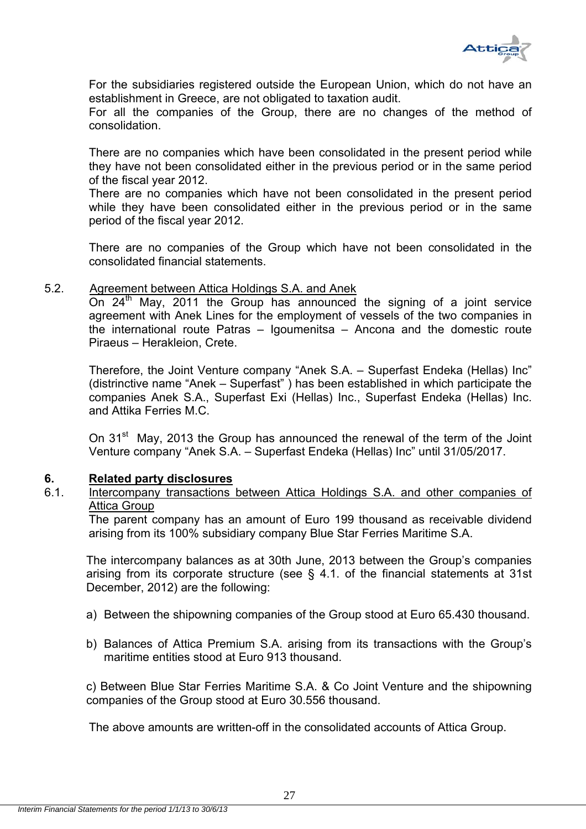

For the subsidiaries registered outside the European Union, which do not have an establishment in Greece, are not obligated to taxation audit.

For all the companies of the Group, there are no changes of the method of consolidation.

There are no companies which have been consolidated in the present period while they have not been consolidated either in the previous period or in the same period of the fiscal year 2012.

There are no companies which have not been consolidated in the present period while they have been consolidated either in the previous period or in the same period of the fiscal year 2012.

There are no companies of the Group which have not been consolidated in the consolidated financial statements.

#### 5.2. Agreement between Attica Holdings S.A. and Anek

On  $24<sup>th</sup>$  May, 2011 the Group has announced the signing of a joint service agreement with Anek Lines for the employment of vessels of the two companies in the international route Patras – Igoumenitsa – Ancona and the domestic route Piraeus – Herakleion, Crete.

Therefore, the Joint Venture company "Anek S.A. – Superfast Endeka (Hellas) Inc" (distrinctive name "Anek – Superfast" ) has been established in which participate the companies Anek S.A., Superfast Exi (Hellas) Inc., Superfast Endeka (Hellas) Inc. and Attika Ferries M.C.

On 31<sup>st</sup> May, 2013 the Group has announced the renewal of the term of the Joint Venture company "Anek S.A. – Superfast Endeka (Hellas) Inc" until 31/05/2017.

#### **6. Related party disclosures**

6.1. Intercompany transactions between Attica Holdings S.A. and other companies of Attica Group

The parent company has an amount of Euro 199 thousand as receivable dividend arising from its 100% subsidiary company Blue Star Ferries Maritime S.A.

The intercompany balances as at 30th June, 2013 between the Group's companies arising from its corporate structure (see § 4.1. of the financial statements at 31st December, 2012) are the following:

- a) Between the shipowning companies of the Group stood at Euro 65.430 thousand.
- b) Balances of Attica Premium S.A. arising from its transactions with the Group's maritime entities stood at Euro 913 thousand.

c) Between Blue Star Ferries Maritime S.A. & Co Joint Venture and the shipowning companies of the Group stood at Euro 30.556 thousand.

The above amounts are written-off in the consolidated accounts of Attica Group.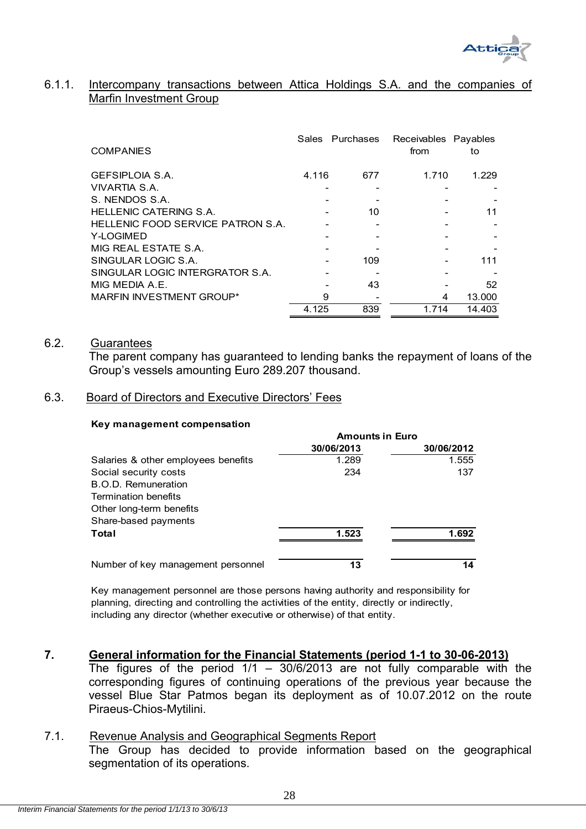

#### 6.1.1. Intercompany transactions between Attica Holdings S.A. and the companies of Marfin Investment Group

| <b>COMPANIES</b>                  | Sales | Purchases | Receivables Payables<br>from | to     |
|-----------------------------------|-------|-----------|------------------------------|--------|
| <b>GEFSIPLOIA S.A.</b>            | 4.116 | 677       | 1.710                        | 1.229  |
| VIVARTIA S.A.                     |       |           |                              |        |
| S. NENDOS S.A.                    |       |           |                              |        |
| <b>HELLENIC CATERING S.A.</b>     |       | 10        |                              | 11     |
| HELLENIC FOOD SERVICE PATRON S.A. |       |           |                              |        |
| Y-LOGIMED                         |       |           |                              |        |
| MIG REAL ESTATE S.A.              |       |           |                              |        |
| SINGULAR LOGIC S.A.               |       | 109       |                              | 111    |
| SINGULAR LOGIC INTERGRATOR S.A.   |       |           |                              |        |
| MIG MEDIA A.E.                    |       | 43        |                              | 52     |
| MARFIN INVESTMENT GROUP*          | 9     |           | 4                            | 13.000 |
|                                   | 4.125 | 839       | 1.714                        | 14.403 |

#### 6.2. Guarantees

 The parent company has guaranteed to lending banks the repayment of loans of the Group's vessels amounting Euro 289.207 thousand.

#### 6.3. Board of Directors and Executive Directors' Fees

#### **Key management compensation**

|                                     | <b>Amounts in Euro</b> |            |  |  |
|-------------------------------------|------------------------|------------|--|--|
|                                     | 30/06/2013             | 30/06/2012 |  |  |
| Salaries & other employees benefits | 1.289                  | 1.555      |  |  |
| Social security costs               | 234                    | 137        |  |  |
| B.O.D. Remuneration                 |                        |            |  |  |
| Termination benefits                |                        |            |  |  |
| Other long-term benefits            |                        |            |  |  |
| Share-based payments                |                        |            |  |  |
| Total                               | 1.523                  | 1.692      |  |  |
| Number of key management personnel  | 13                     | 14         |  |  |

Key management personnel are those persons having authority and responsibility for planning, directing and controlling the activities of the entity, directly or indirectly, including any director (whether executive or otherwise) of that entity.

#### **7. General information for the Financial Statements (period 1-1 to 30-06-2013)**

The figures of the period  $1/1 - 30/6/2013$  are not fully comparable with the corresponding figures of continuing operations of the previous year because the vessel Blue Star Patmos began its deployment as of 10.07.2012 on the route Piraeus-Chios-Mytilini.

#### 7.1. Revenue Analysis and Geographical Segments Report

The Group has decided to provide information based on the geographical segmentation of its operations.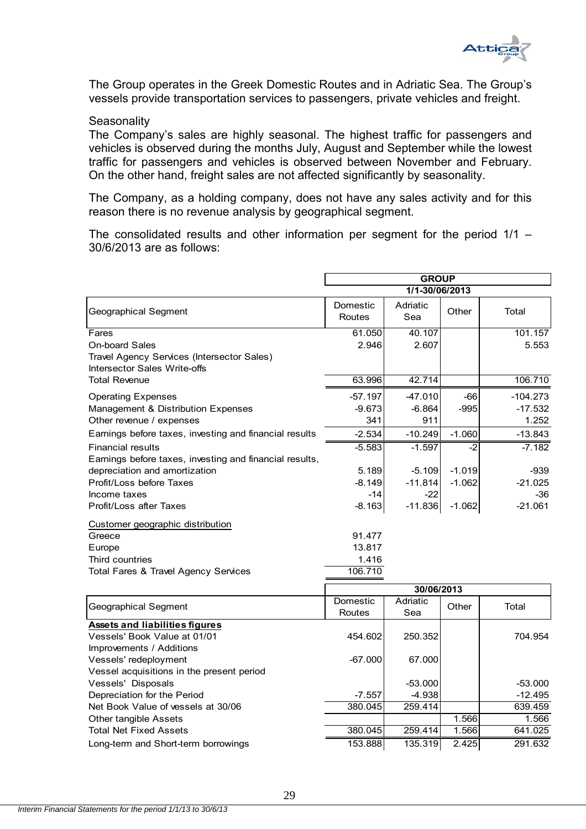

The Group operates in the Greek Domestic Routes and in Adriatic Sea. The Group's vessels provide transportation services to passengers, private vehicles and freight.

#### **Seasonality**

The Company's sales are highly seasonal. The highest traffic for passengers and vehicles is observed during the months July, August and September while the lowest traffic for passengers and vehicles is observed between November and February. On the other hand, freight sales are not affected significantly by seasonality.

The Company, as a holding company, does not have any sales activity and for this reason there is no revenue analysis by geographical segment.

The consolidated results and other information per segment for the period 1/1 – 30/6/2013 are as follows:

|                                                                            | <b>GROUP</b>       |                 |          |            |  |
|----------------------------------------------------------------------------|--------------------|-----------------|----------|------------|--|
|                                                                            |                    | 1/1-30/06/2013  |          |            |  |
| Geographical Segment                                                       | Domestic<br>Routes | Adriatic<br>Sea | Other    | Total      |  |
| Fares                                                                      | 61.050             | 40.107          |          | 101.157    |  |
| <b>On-board Sales</b>                                                      | 2.946              | 2.607           |          | 5.553      |  |
| Travel Agency Services (Intersector Sales)<br>Intersector Sales Write-offs |                    |                 |          |            |  |
| <b>Total Revenue</b>                                                       | 63.996             | 42.714          |          | 106.710    |  |
| <b>Operating Expenses</b>                                                  | $-57.197$          | $-47.010$       | $-66$    | $-104.273$ |  |
| Management & Distribution Expenses                                         | $-9.673$           | $-6.864$        | $-995$   | $-17.532$  |  |
| Other revenue / expenses                                                   | 341                | 911             |          | 1.252      |  |
| Earnings before taxes, investing and financial results                     | $-2.534$           | $-10.249$       | $-1.060$ | $-13.843$  |  |
| <b>Financial results</b>                                                   | $-5.583$           | $-1.597$        | $-2$     | $-7.182$   |  |
| Earnings before taxes, investing and financial results,                    |                    |                 |          |            |  |
| depreciation and amortization                                              | 5.189              | $-5.109$        | $-1.019$ | $-939$     |  |
| Profit/Loss before Taxes                                                   | $-8.149$           | $-11.814$       | $-1.062$ | $-21.025$  |  |
| Income taxes                                                               | $-14$              | $-22$           |          | $-36$      |  |
| Profit/Loss after Taxes                                                    | $-8.163$           | $-11.836$       | $-1.062$ | $-21.061$  |  |
| Customer geographic distribution                                           |                    |                 |          |            |  |
| Greece                                                                     | 91.477             |                 |          |            |  |
| Europe                                                                     | 13.817             |                 |          |            |  |
| Third countries                                                            | 1.416              |                 |          |            |  |
| Total Fares & Travel Agency Services                                       | 106.710            |                 |          |            |  |
|                                                                            |                    | 30/06/2013      |          |            |  |
| <b>Geographical Segment</b>                                                | Domestic           | Adriatic        | Other    | Total      |  |
|                                                                            | Routes             | Sea             |          |            |  |
| <b>Assets and liabilities figures</b>                                      |                    |                 |          |            |  |
| Vessels' Book Value at 01/01                                               | 454.602            | 250.352         |          | 704.954    |  |
| Improvements / Additions                                                   |                    |                 |          |            |  |
| Vessels' redeployment                                                      | $-67.000$          | 67.000          |          |            |  |

| Vessels' redeployment                     | -67.0001 | 67.0001   |        |           |
|-------------------------------------------|----------|-----------|--------|-----------|
| Vessel acquisitions in the present period |          |           |        |           |
| Vessels' Disposals                        |          | $-53.000$ |        | $-53.000$ |
| Depreciation for the Period               | $-7.557$ | $-4.938$  |        | $-12.495$ |
| Net Book Value of vessels at 30/06        | 380.045  | 259.414   |        | 639.459   |
| Other tangible Assets                     |          |           | 1.5661 | 1.566     |
| <b>Total Net Fixed Assets</b>             | 380.045  | 259.414   | 1.566  | 641.025   |
| Long-term and Short-term borrowings       | 153.888  | 135.319   | 2.425  | 291.632   |
|                                           |          |           |        |           |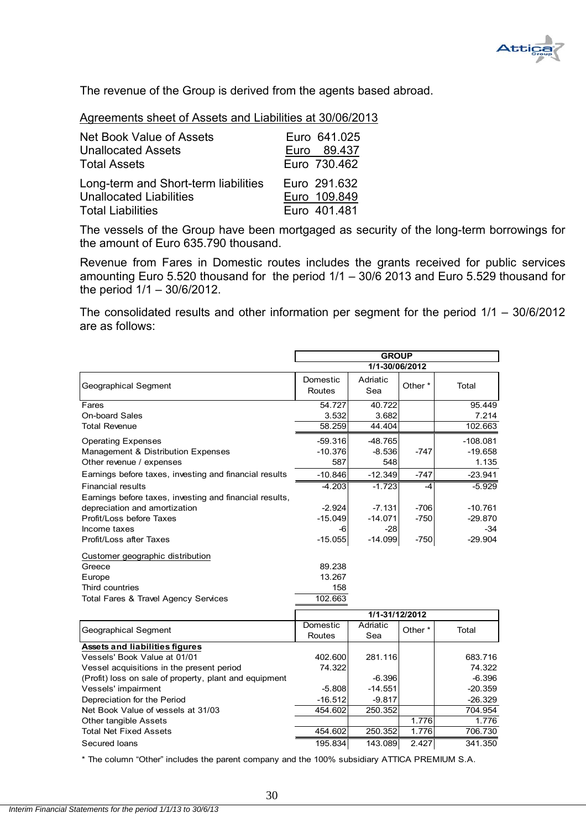

The revenue of the Group is derived from the agents based abroad.

| Agreements sheet of Assets and Liabilities at 30/06/2013 |
|----------------------------------------------------------|
|----------------------------------------------------------|

| Net Book Value of Assets             | Euro 641.025 |
|--------------------------------------|--------------|
| <b>Unallocated Assets</b>            | Euro 89.437  |
| <b>Total Assets</b>                  | Euro 730.462 |
| Long-term and Short-term liabilities | Euro 291.632 |
| <b>Unallocated Liabilities</b>       | Euro 109.849 |
| <b>Total Liabilities</b>             | Euro 401.481 |

The vessels of the Group have been mortgaged as security of the long-term borrowings for the amount of Euro 635.790 thousand.

Revenue from Fares in Domestic routes includes the grants received for public services amounting Euro 5.520 thousand for the period 1/1 – 30/6 2013 and Euro 5.529 thousand for the period 1/1 – 30/6/2012.

The consolidated results and other information per segment for the period 1/1 – 30/6/2012 are as follows:

|                                                         |                    | <b>GROUP</b>    |                    |                  |
|---------------------------------------------------------|--------------------|-----------------|--------------------|------------------|
|                                                         |                    | 1/1-30/06/2012  |                    |                  |
| Geographical Segment                                    | Domestic<br>Routes | Adriatic<br>Sea | Other *            | Total            |
| Fares                                                   | 54.727             | 40.722          |                    | 95.449           |
| <b>On-board Sales</b>                                   | 3.532              | 3.682           |                    | 7.214            |
| <b>Total Revenue</b>                                    | 58.259             | 44.404          |                    | 102.663          |
| <b>Operating Expenses</b>                               | $-59.316$          | $-48.765$       |                    | $-108.081$       |
| Management & Distribution Expenses                      | $-10.376$          | $-8.536$        | $-747$             | $-19.658$        |
| Other revenue / expenses                                | 587                | 548             |                    | 1.135            |
| Earnings before taxes, investing and financial results  | $-10.846$          | $-12.349$       | $-747$             | $-23.941$        |
| <b>Financial results</b>                                | $-4.203$           | $-1.723$        | -4                 | $-5.929$         |
| Earnings before taxes, investing and financial results, |                    |                 |                    |                  |
| depreciation and amortization                           | $-2.924$           | $-7.131$        | $-706$             | $-10.761$        |
| Profit/Loss before Taxes                                | $-15.049$          | $-14.071$       | $-750$             | $-29.870$        |
| Income taxes                                            | -6                 | $-28$           |                    | $-34$            |
| Profit/Loss after Taxes                                 | $-15.055$          | $-14.099$       | $-750$             | $-29.904$        |
| Customer geographic distribution                        |                    |                 |                    |                  |
| Greece                                                  | 89.238             |                 |                    |                  |
| Europe                                                  | 13.267             |                 |                    |                  |
| Third countries                                         | 158                |                 |                    |                  |
| Total Fares & Travel Agency Services                    | 102.663            |                 |                    |                  |
|                                                         |                    | 1/1-31/12/2012  |                    |                  |
|                                                         | Domestic           | Adriatic        |                    |                  |
| Geographical Segment                                    | Routes             | Sea             | Other <sup>*</sup> | Total            |
| <b>Assets and liabilities figures</b>                   |                    |                 |                    |                  |
| Vessels' Book Value at 01/01                            | 402.600            | 281.116         |                    | 683.716          |
| Vessel acquisitions in the present period               | 74.322             |                 |                    | 74.322           |
| (Profit) loss on sale of property, plant and equipment  |                    | $-6.396$        |                    | $-6.396$         |
| Vessels' impairment                                     | $-5.808$           | $-14.551$       |                    | $-20.359$        |
| Depreciation for the Period                             | $-16.512$          | $-9.817$        |                    | $-26.329$        |
| Net Book Value of vessels at 31/03                      | 454.602            | 250.352         |                    | 704.954          |
| Other tangible Assets<br><b>Total Net Fixed Assets</b>  | 454.602            | 250.352         | 1.776<br>1.776     | 1.776<br>706.730 |
|                                                         |                    |                 |                    |                  |
| Secured Ioans                                           | 195.834            | 143.089         | 2.427              | 341.350          |

\* The column "Other" includes the parent company and the 100% subsidiary ATTICA PREMIUM S.A.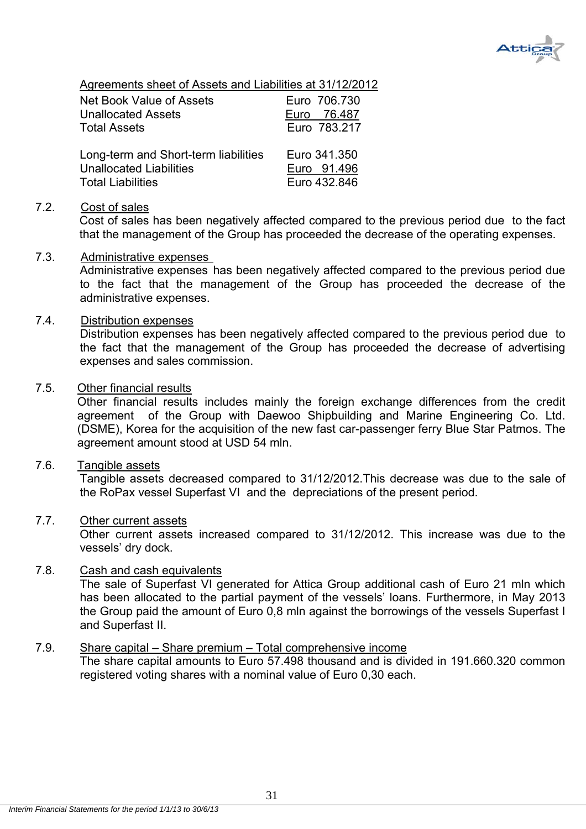

Agreements sheet of Assets and Liabilities at 31/12/2012

| Net Book Value of Assets             | Euro 706.730 |
|--------------------------------------|--------------|
| <b>Unallocated Assets</b>            | Euro 76.487  |
| <b>Total Assets</b>                  | Euro 783.217 |
| Long-term and Short-term liabilities | Euro 341,350 |
| <b>Unallocated Liabilities</b>       | Euro 91.496  |
| <b>Total Liabilities</b>             | Euro 432.846 |

#### 7.2. Cost of sales

 Cost of sales has been negatively affected compared to the previous period due to the fact that the management of the Group has proceeded the decrease of the operating expenses.

#### 7.3. Administrative expenses

Administrative expenses has been negatively affected compared to the previous period due to the fact that the management of the Group has proceeded the decrease of the administrative expenses.

#### 7.4. Distribution expenses

Distribution expenses has been negatively affected compared to the previous period due to the fact that the management of the Group has proceeded the decrease of advertising expenses and sales commission.

#### 7.5. Other financial results

Other financial results includes mainly the foreign exchange differences from the credit agreement of the Group with Daewoo Shipbuilding and Marine Engineering Co. Ltd. (DSME), Korea for the acquisition of the new fast car-passenger ferry Blue Star Patmos. The agreement amount stood at USD 54 mln.

#### 7.6. Tangible assets

Tangible assets decreased compared to 31/12/2012.This decrease was due to the sale of the RoPax vessel Superfast VI and the depreciations of the present period.

#### 7.7. Other current assets

Other current assets increased compared to 31/12/2012. This increase was due to the vessels' dry dock.

#### 7.8. Cash and cash equivalents

The sale of Superfast VI generated for Attica Group additional cash of Euro 21 mln which has been allocated to the partial payment of the vessels' loans. Furthermore, in May 2013 the Group paid the amount of Euro 0,8 mln against the borrowings of the vessels Superfast I and Superfast II.

#### 7.9. Share capital – Share premium – Total comprehensive income

The share capital amounts to Euro 57.498 thousand and is divided in 191.660.320 common registered voting shares with a nominal value of Euro 0,30 each.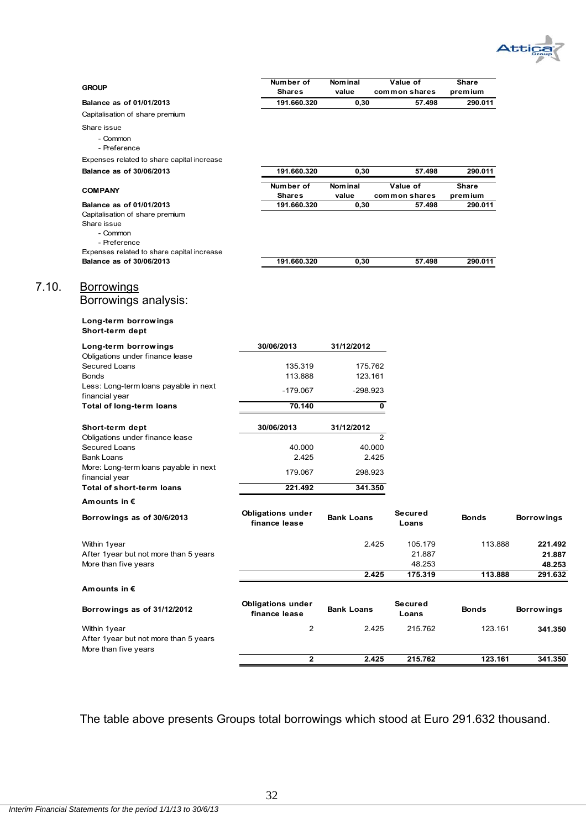

| <b>GROUP</b>                                               | Number of                                 | Nominal            | Value of                | Share              |                   |
|------------------------------------------------------------|-------------------------------------------|--------------------|-------------------------|--------------------|-------------------|
| Balance as of 01/01/2013                                   | <b>Shares</b><br>191.660.320              | value<br>0,30      | common shares<br>57.498 | premium<br>290.011 |                   |
| Capitalisation of share premium                            |                                           |                    |                         |                    |                   |
| Share issue                                                |                                           |                    |                         |                    |                   |
| - Common                                                   |                                           |                    |                         |                    |                   |
| - Preference                                               |                                           |                    |                         |                    |                   |
| Expenses related to share capital increase                 |                                           |                    |                         |                    |                   |
| Balance as of 30/06/2013                                   | 191.660.320                               | 0,30               | 57.498                  | 290.011            |                   |
| <b>COMPANY</b>                                             | Number of                                 | <b>Nominal</b>     | Value of                | Share              |                   |
| Balance as of 01/01/2013                                   | <b>Shares</b><br>191.660.320              | value<br>0,30      | common shares<br>57.498 | premium<br>290.011 |                   |
| Capitalisation of share premium                            |                                           |                    |                         |                    |                   |
| Share issue                                                |                                           |                    |                         |                    |                   |
| - Common                                                   |                                           |                    |                         |                    |                   |
| - Preference<br>Expenses related to share capital increase |                                           |                    |                         |                    |                   |
| Balance as of 30/06/2013                                   | 191.660.320                               | 0,30               | 57.498                  | 290.011            |                   |
|                                                            |                                           |                    |                         |                    |                   |
| <u>Borrowings</u>                                          |                                           |                    |                         |                    |                   |
| Borrowings analysis:                                       |                                           |                    |                         |                    |                   |
|                                                            |                                           |                    |                         |                    |                   |
| Long-term borrowings<br>Short-term dept                    |                                           |                    |                         |                    |                   |
| Long-term borrowings                                       | 30/06/2013                                | 31/12/2012         |                         |                    |                   |
| Obligations under finance lease                            |                                           |                    |                         |                    |                   |
| Secured Loans<br><b>Bonds</b>                              | 135.319<br>113.888                        | 175.762<br>123.161 |                         |                    |                   |
| Less: Long-term loans payable in next                      |                                           |                    |                         |                    |                   |
| financial year                                             | -179.067                                  | -298.923           |                         |                    |                   |
| Total of long-term loans                                   | 70.140                                    |                    | 0                       |                    |                   |
| Short-term dept                                            | 30/06/2013                                | 31/12/2012         |                         |                    |                   |
| Obligations under finance lease                            |                                           |                    | $\overline{2}$          |                    |                   |
| Secured Loans                                              | 40.000                                    | 40.000             |                         |                    |                   |
| Bank Loans                                                 | 2.425                                     | 2.425              |                         |                    |                   |
| More: Long-term loans payable in next<br>financial year    | 179.067                                   | 298.923            |                         |                    |                   |
| Total of short-term loans                                  | 221.492                                   | 341.350            |                         |                    |                   |
| Amounts in €                                               |                                           |                    |                         |                    |                   |
| Borrowings as of 30/6/2013                                 | <b>Obligations under</b><br>finance lease | <b>Bank Loans</b>  | Secured<br>Loans        | <b>Bonds</b>       | <b>Borrowings</b> |
| Within 1year                                               |                                           | 2.425              | 105.179                 | 113.888            | 221.492           |
| After 1year but not more than 5 years                      |                                           |                    | 21.887                  |                    | 21.887            |
| More than five years                                       |                                           |                    | 48.253                  |                    | 48.253            |
|                                                            |                                           | 2.425              | 175.319                 | 113.888            | 291.632           |
| Amounts in $\epsilon$                                      |                                           |                    |                         |                    |                   |
| Borrowings as of 31/12/2012                                | <b>Obligations under</b><br>finance lease | <b>Bank Loans</b>  | Secured<br>Loans        | <b>Bonds</b>       | <b>Borrowings</b> |
| Within 1year                                               | $\overline{2}$                            | 2.425              | 215.762                 | 123.161            | 341.350           |
| After 1year but not more than 5 years                      |                                           |                    |                         |                    |                   |
| More than five years                                       | $\overline{\mathbf{2}}$                   | 2.425              | 215.762                 | 123.161            | 341.350           |
|                                                            |                                           |                    |                         |                    |                   |

The table above presents Groups total borrowings which stood at Euro 291.632 thousand.

 $7.10.$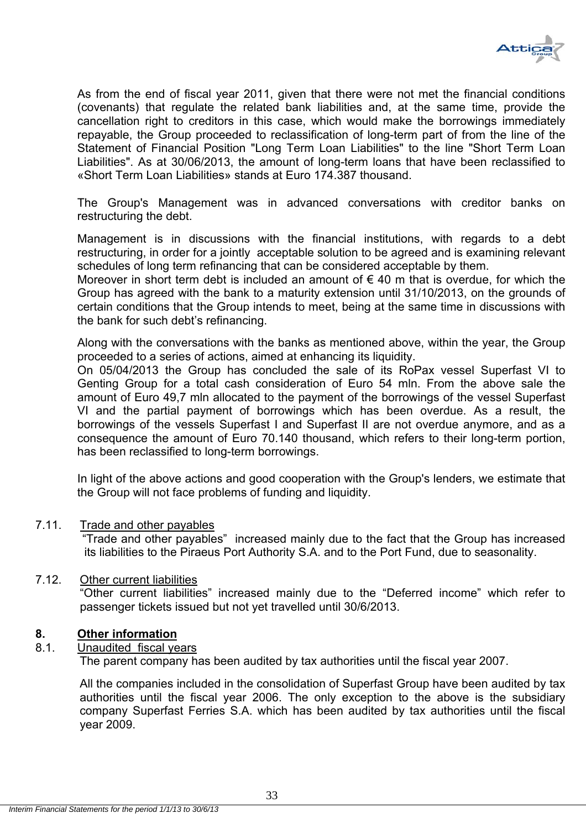

As from the end of fiscal year 2011, given that there were not met the financial conditions (covenants) that regulate the related bank liabilities and, at the same time, provide the cancellation right to creditors in this case, which would make the borrowings immediately repayable, the Group proceeded to reclassification of long-term part of from the line of the Statement of Financial Position "Long Term Loan Liabilities" to the line "Short Term Loan Liabilities". As at 30/06/2013, the amount of long-term loans that have been reclassified to «Short Term Loan Liabilities» stands at Euro 174.387 thousand.

The Group's Management was in advanced conversations with creditor banks on restructuring the debt.

Management is in discussions with the financial institutions, with regards to a debt restructuring, in order for a jointly acceptable solution to be agreed and is examining relevant schedules of long term refinancing that can be considered acceptable by them.

Moreover in short term debt is included an amount of  $\epsilon$  40 m that is overdue, for which the Group has agreed with the bank to a maturity extension until 31/10/2013, on the grounds of certain conditions that the Group intends to meet, being at the same time in discussions with the bank for such debt's refinancing.

Along with the conversations with the banks as mentioned above, within the year, the Group proceeded to a series of actions, aimed at enhancing its liquidity.

On 05/04/2013 the Group has concluded the sale of its RoPax vessel Superfast VI to Genting Group for a total cash consideration of Euro 54 mln. From the above sale the amount of Euro 49,7 mln allocated to the payment of the borrowings of the vessel Superfast VI and the partial payment of borrowings which has been overdue. As a result, the borrowings of the vessels Superfast I and Superfast II are not overdue anymore, and as a consequence the amount of Euro 70.140 thousand, which refers to their long-term portion, has been reclassified to long-term borrowings.

In light of the above actions and good cooperation with the Group's lenders, we estimate that the Group will not face problems of funding and liquidity.

#### 7.11. Trade and other payables

"Trade and other payables" increased mainly due to the fact that the Group has increased its liabilities to the Piraeus Port Authority S.A. and to the Port Fund, due to seasonality.

#### 7.12. Other current liabilities

"Other current liabilities" increased mainly due to the "Deferred income" which refer to passenger tickets issued but not yet travelled until 30/6/2013.

#### **8. Other information**

#### 8.1. Unaudited fiscal years

The parent company has been audited by tax authorities until the fiscal year 2007.

All the companies included in the consolidation of Superfast Group have been audited by tax authorities until the fiscal year 2006. The only exception to the above is the subsidiary company Superfast Ferries S.A. which has been audited by tax authorities until the fiscal year 2009.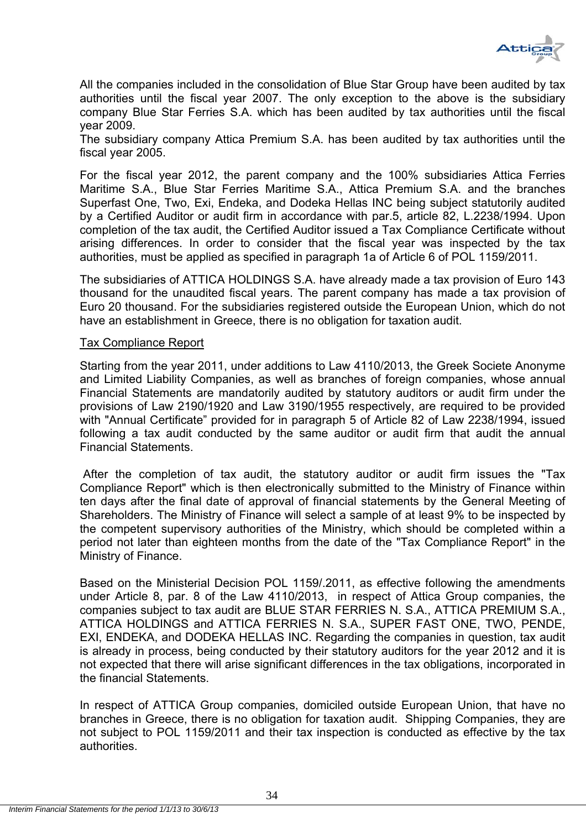

All the companies included in the consolidation of Blue Star Group have been audited by tax authorities until the fiscal year 2007. The only exception to the above is the subsidiary company Blue Star Ferries S.A. which has been audited by tax authorities until the fiscal year 2009.

The subsidiary company Attica Premium S.A. has been audited by tax authorities until the fiscal year 2005.

For the fiscal year 2012, the parent company and the 100% subsidiaries Attica Ferries Maritime S.A., Blue Star Ferries Maritime S.A., Attica Premium S.A. and the branches Superfast One, Two, Exi, Endeka, and Dodeka Hellas INC being subject statutorily audited by a Certified Auditor or audit firm in accordance with par.5, article 82, L.2238/1994. Upon completion of the tax audit, the Certified Auditor issued a Tax Compliance Certificate without arising differences. In order to consider that the fiscal year was inspected by the tax authorities, must be applied as specified in paragraph 1a of Article 6 of POL 1159/2011.

The subsidiaries of ATTICA HOLDINGS S.A. have already made a tax provision of Euro 143 thousand for the unaudited fiscal years. The parent company has made a tax provision of Euro 20 thousand. For the subsidiaries registered outside the European Union, which do not have an establishment in Greece, there is no obligation for taxation audit.

#### Tax Compliance Report

Starting from the year 2011, under additions to Law 4110/2013, the Greek Societe Anonyme and Limited Liability Companies, as well as branches of foreign companies, whose annual Financial Statements are mandatorily audited by statutory auditors or audit firm under the provisions of Law 2190/1920 and Law 3190/1955 respectively, are required to be provided with "Annual Certificate" provided for in paragraph 5 of Article 82 of Law 2238/1994, issued following a tax audit conducted by the same auditor or audit firm that audit the annual Financial Statements.

After the completion of tax audit, the statutory auditor or audit firm issues the "Tax Compliance Report" which is then electronically submitted to the Ministry of Finance within ten days after the final date of approval of financial statements by the General Meeting of Shareholders. The Ministry of Finance will select a sample of at least 9% to be inspected by the competent supervisory authorities of the Ministry, which should be completed within a period not later than eighteen months from the date of the "Tax Compliance Report" in the Ministry of Finance.

Based on the Ministerial Decision POL 1159/.2011, as effective following the amendments under Article 8, par. 8 of the Law 4110/2013, in respect of Attica Group companies, the companies subject to tax audit are BLUE STAR FERRIES N. S.A., ATTICA PREMIUM S.A., ATTICA HOLDINGS and ATTICA FERRIES N. S.A., SUPER FAST ONE, TWO, PENDE, EXI, ENDEKA, and DODEKA HELLAS INC. Regarding the companies in question, tax audit is already in process, being conducted by their statutory auditors for the year 2012 and it is not expected that there will arise significant differences in the tax obligations, incorporated in the financial Statements.

In respect of ATTICA Group companies, domiciled outside European Union, that have no branches in Greece, there is no obligation for taxation audit. Shipping Companies, they are not subject to POL 1159/2011 and their tax inspection is conducted as effective by the tax authorities.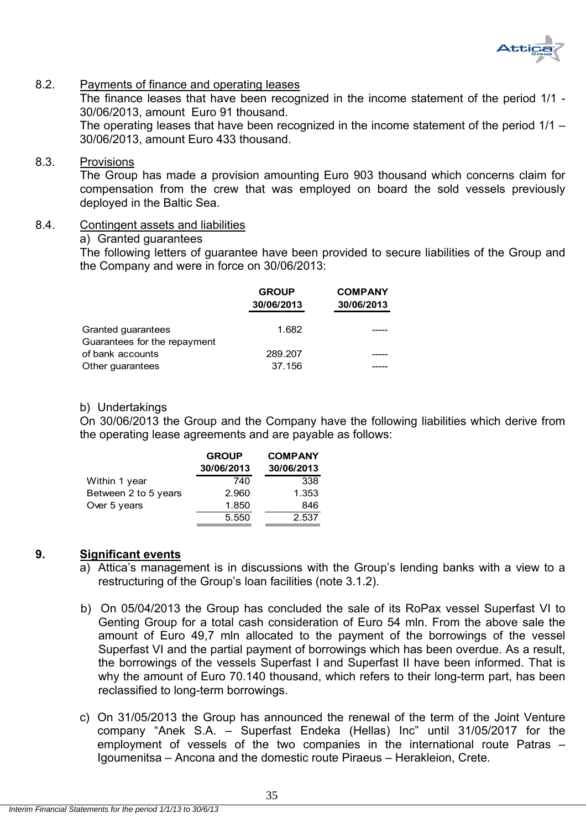

#### 8.2. Payments of finance and operating leases

The finance leases that have been recognized in the income statement of the period 1/1 - 30/06/2013, amount Euro 91 thousand.

The operating leases that have been recognized in the income statement of the period 1/1 – 30/06/2013, amount Euro 433 thousand.

#### 8.3. Provisions

The Group has made a provision amounting Euro 903 thousand which concerns claim for compensation from the crew that was employed on board the sold vessels previously deployed in the Baltic Sea.

#### 8.4. Contingent assets and liabilities

#### a) Granted guarantees

The following letters of guarantee have been provided to secure liabilities of the Group and the Company and were in force on 30/06/2013:

| <b>GROUP</b><br>30/06/2013 | <b>COMPANY</b><br>30/06/2013 |
|----------------------------|------------------------------|
| 1.682                      |                              |
| 289.207                    |                              |
| 37.156                     |                              |
|                            |                              |

#### b) Undertakings

On 30/06/2013 the Group and the Company have the following liabilities which derive from the operating lease agreements and are payable as follows:

|                      | <b>GROUP</b> | <b>COMPANY</b> |
|----------------------|--------------|----------------|
|                      | 30/06/2013   | 30/06/2013     |
| Within 1 year        | 740          | 338            |
| Between 2 to 5 years | 2.960        | 1.353          |
| Over 5 years         | 1.850        | 846            |
|                      | 5.550        | 2.537          |

#### **9. Significant events**

- a) Attica's management is in discussions with the Group's lending banks with a view to a restructuring of the Group's loan facilities (note 3.1.2).
- b) On 05/04/2013 the Group has concluded the sale of its RoPax vessel Superfast VI to Genting Group for a total cash consideration of Euro 54 mln. From the above sale the amount of Euro 49,7 mln allocated to the payment of the borrowings of the vessel Superfast VI and the partial payment of borrowings which has been overdue. As a result, the borrowings of the vessels Superfast I and Superfast II have been informed. That is why the amount of Euro 70.140 thousand, which refers to their long-term part, has been reclassified to long-term borrowings.
- c) On 31/05/2013 the Group has announced the renewal of the term of the Joint Venture company "Anek S.A. – Superfast Endeka (Hellas) Inc" until 31/05/2017 for the employment of vessels of the two companies in the international route Patras – Igoumenitsa – Ancona and the domestic route Piraeus – Herakleion, Crete.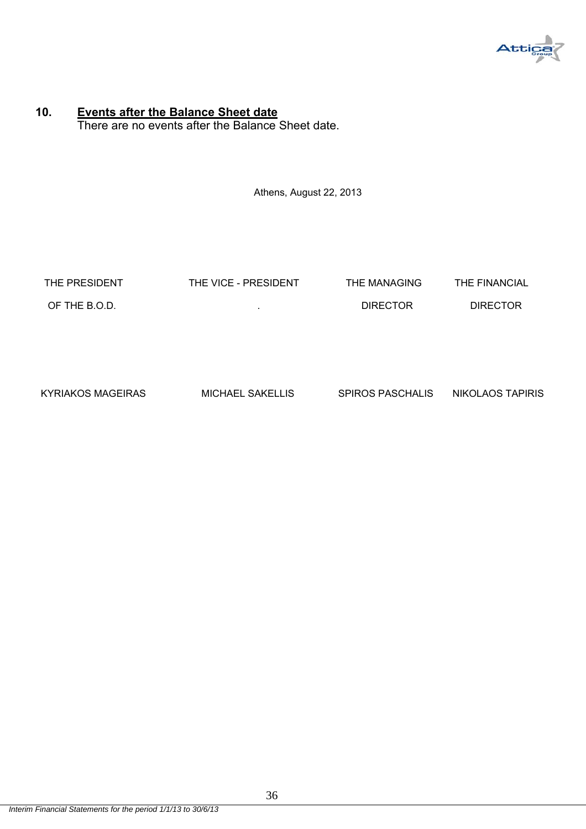

#### **10. Events after the Balance Sheet date** There are no events after the Balance Sheet date.

Athens, August 22, 2013

| THE PRESIDENT | THE VICE - PRESIDENT | THE MANAGING    | THE FINANCIAL   |
|---------------|----------------------|-----------------|-----------------|
| OF THE B.O.D. |                      | <b>DIRECTOR</b> | <b>DIRECTOR</b> |
|               |                      |                 |                 |

| KYRIAKOS MAGEIRAS | <b>MICHAEL SAKELLIS</b> | <b>SPIROS PASCHALIS</b> | NIKOLAOS TAPIRIS |
|-------------------|-------------------------|-------------------------|------------------|
|                   |                         |                         |                  |